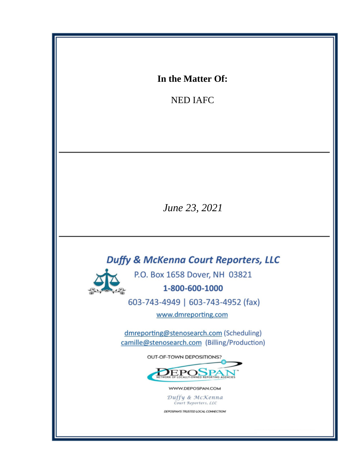In the Matter Of:

**NED IAFC** 

June 23, 2021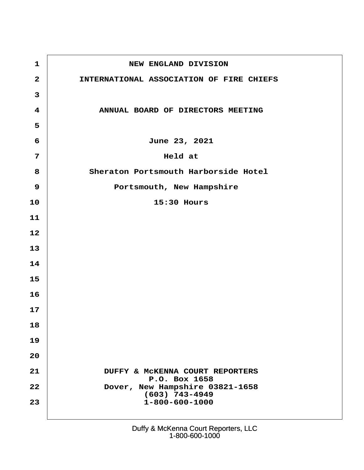| $\mathbf 1$    | <b>NEW ENGLAND DIVISION</b>                                 |
|----------------|-------------------------------------------------------------|
| 2              | INTERNATIONAL ASSOCIATION OF FIRE CHIEFS                    |
| 3              |                                                             |
| $\overline{4}$ | ANNUAL BOARD OF DIRECTORS MEETING                           |
| 5              |                                                             |
| 6              | June 23, 2021                                               |
| $\overline{7}$ | Held at                                                     |
| 8              | Sheraton Portsmouth Harborside Hotel                        |
| $9\,$          | Portsmouth, New Hampshire                                   |
| 10             | 15:30 Hours                                                 |
| $11$           |                                                             |
| 12             |                                                             |
| 13             |                                                             |
| 14             |                                                             |
| 15             |                                                             |
| 16             |                                                             |
| 17             |                                                             |
| 18             |                                                             |
| 19             |                                                             |
| 20             |                                                             |
| 21             | <b>DUFFY &amp; McKENNA COURT REPORTERS</b><br>P.O. Box 1658 |
| 22             | Dover, New Hampshire 03821-1658<br>(603) 743-4949           |
| 23             | 1-800-600-1000                                              |
|                |                                                             |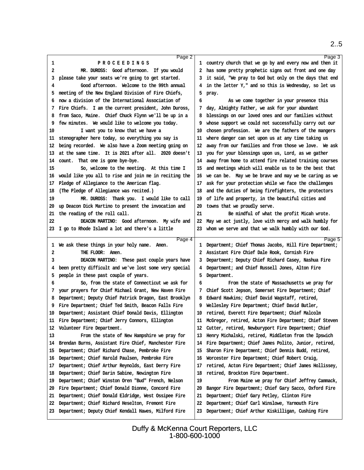<span id="page-2-0"></span>

| Page 2                                                    | Page 3                                                    |  |
|-----------------------------------------------------------|-----------------------------------------------------------|--|
| PROCEEDINGS<br>1                                          | 1 country church that we go by and every now and then it  |  |
| MR. DUROSS: Good afternoon. If you would<br>2             | 2 has some pretty prophetic signs out front and one day   |  |
| 3 please take your seats we're going to get started.      | 3 it said, "We pray to God but only on the days that end  |  |
| Good afternoon. Welcome to the 99th annual<br>4           | 4 in the letter Y," and so this is Wednesday, so let us   |  |
| 5 meeting of the New England Division of Fire Chiefs,     | 5 pray.                                                   |  |
| 6 now a division of the International Association of      | As we come together in your presence this<br>6            |  |
| 7 Fire Chiefs. I am the current president, John Duross,   | 7 day, Almighty Father, we ask for your abundant          |  |
| 8 from Saco, Maine. Chief Chuck Flynn we'll be up in a    | 8 blessings on our loved ones and our families without    |  |
|                                                           |                                                           |  |
| 9 few minutes. We would like to welcome you today.        | 9 whose support we could not successfully carry out our   |  |
| I want you to know that we have a<br>10                   | 10 chosen profession. We are the fathers of the mangers   |  |
| 11 stenographer here today, so everything you say is      | 11 where danger can set upon us at any time taking us     |  |
| 12 being recorded. We also have a Zoom meeting going on   | 12 away from our families and from those we love. We ask  |  |
| 13 at the same time. It is 2021 after all. 2020 doesn't   | 13 you for your blessings upon us, Lord, as we gather     |  |
| 14 count. That one is gone bye-bye.                       | 14 away from home to attend fire related training courses |  |
| So, welcome to the meeting. At this time I<br>15          | 15 and meetings which will enable us to be the best that  |  |
| 16 would like you all to rise and join me in reciting the | 16 we can be. May we be brave and may we be caring as we  |  |
| 17 Pledge of Allegiance to the American flag.             | 17 ask for your protection while we face the challenges   |  |
| 18 (The Pledge of Allegiance was recited.)                | 18 and the duties of being firefighters, the protectors   |  |
| MR. DUROSS: Thank you. I would like to call<br>19         | 19 of life and property, in the beautiful cities and      |  |
| 20 up Deacon Dick Martino to present the invocation and   | 20 towns that we proudly serve.                           |  |
| 21 the reading of the roll call.                          | Be mindful of what the profit Micah wrote.<br>21          |  |
| 22<br>DEACON MARTINO: Good afternoon. My wife and         | 22 May we act justly, love with mercy and walk humbly for |  |
|                                                           | 23 whom we serve and that we walk humbly with our God.    |  |
| 23 I go to Rhode Island a lot and there's a little        |                                                           |  |
|                                                           |                                                           |  |
| Page 4                                                    | Page 5                                                    |  |
| 1 We ask these things in your holy name. Amen.            | 1 Department; Chief Thomas Jacobs, Hill Fire Department;  |  |
| THE FLOOR: Amen.<br>2                                     | 2 Assistant Fire Chief Dale Rook, Cornish Fire            |  |
| 3<br>DEACON MARTINO: These past couple years have         | 3 Department; Deputy Chief Richard Casey, Nashua Fire     |  |
| 4 been pretty difficult and we've lost some very special  | 4 Department; and Chief Russell Jones, Alton Fire         |  |
| 5 people in these past couple of years.                   | 5 Department.                                             |  |
| So, from the state of Connecticut we ask for<br>6         | From the state of Massachusetts we pray for<br>6          |  |
|                                                           |                                                           |  |
| 7 your prayers for Chief Michael Grant, New Haven Fire    | 7 Chief Scott Jepson, Somerset Fire Department; Chief     |  |
| 8 Department; Deputy Chief Patrick Dragon, East Brooklyn  | 8 Edward Hawkins; Chief David Wagstaff, retired,          |  |
| 9 Fire Department; Chief Ted Smith, Beacon Falls Fire     | 9 Wellesley Fire Department; Chief David Butler,          |  |
| 10 Department; Assistant Chief Donald Davis, Ellington    | 10 retired, Everett Fire Department; Chief Malcolm        |  |
| 11 Fire Department; Chief Jerry Connors, Ellington        | 11 McGregor, retired, Acton Fire Department; Chief Steven |  |
| 12 Volunteer Fire Department.                             | 12 Cutter, retired, Newburyport Fire Department; Chief    |  |
| From the state of New Hampshire we pray for<br>13         | 13 Henry Michalski, retired, Middleton from the Ipswich   |  |
| 14 Brendan Burns, Assistant Fire Chief, Manchester Fire   | 14 Fire Department; Chief James Polito, Junior, retired,  |  |
| 15 Department; Chief Richard Chase, Pembroke Fire         | 15 Sharon Fire Department; Chief Dennis Budd, retired,    |  |
| 16 Department; Chief Harold Paulsen, Pembroke Fire        | 16 Worcester Fire Department; Chief Robert Craig,         |  |
| 17 Department; Chief Arthur Reynolds, East Derry Fire     | 17 retired, Acton Fire Department; Chief James Hollissey, |  |
| 18 Department; Chief Darin Sabine, Newington Fire         | 18 retired, Brockton Fire Department.                     |  |
| 19 Department; Chief Winston Oren "Bud" French, Nelson    | 19<br>From Maine we pray for Chief Jeffrey Cammack,       |  |
| 20 Fire Department; Chief Donald Dionne, Concord Fire     | 20 Bangor Fire Department; Chief Gary Sacco, Oxford Fire  |  |
| 21 Department; Chief Donald Eldridge, West Ossipee Fire   | 21 Department; Chief Gary Petley, Clinton Fire            |  |
| 22 Department; Chief Richard Heselton, Fremont Fire       | 22 Department; Chief Carl Winslowe, Yarmouth Fire         |  |
| 23 Department; Deputy Chief Kendall Hawes, Milford Fire   | 23 Department; Chief Arthur Kiskilligan, Cushing Fire     |  |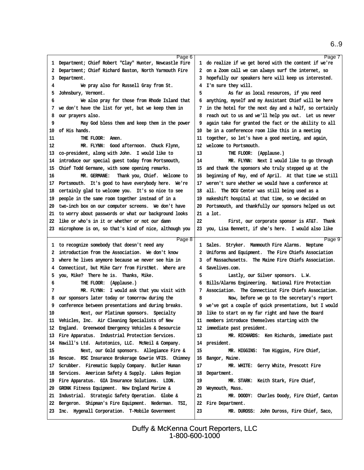<span id="page-3-0"></span>

| Page 6                                                    |                                                          | Page 7 |
|-----------------------------------------------------------|----------------------------------------------------------|--------|
| 1 Department; Chief Robert "Clay" Hunter, Newcastle Fire  | 1 do realize if we get bored with the content if we're   |        |
| 2 Department; Chief Richard Baston, North Yarmouth Fire   | 2 on a Zoom call we can always surf the internet, so     |        |
| 3 Department.                                             | 3 hopefully our speakers here will keep us interested.   |        |
| We pray also for Russell Gray from St.<br>4               | 4 I'm sure they will.                                    |        |
| 5 Johnsbury, Vermont.                                     | 5<br>As far as local resources, if you need              |        |
|                                                           |                                                          |        |
| We also pray for those from Rhode Island that<br>6        | 6 anything, myself and my Assistant Chief will be here   |        |
| 7 we don't have the list for yet, but we keep them in     | 7 in the hotel for the next day and a half, so certainly |        |
| 8 our prayers also.                                       | 8 reach out to us and we'll help you out. Let us never   |        |
| May God bless them and keep them in the power<br>9        | 9 again take for granted the fact or the ability to all  |        |
| 10 of His hands.                                          | 10 be in a conferencce room like this in a meeting       |        |
| THE FLOOR: Amen.<br>11                                    | 11 together, so let's have a good meeting, and again,    |        |
| 12<br>MR. FLYNN: Good afternoon. Chuck Flynn,             | 12 welcome to Portsmouth.                                |        |
|                                                           |                                                          |        |
| 13 co-president, along with John. I would like to         | 13<br>THE FLOOR: (Applause.)                             |        |
| 14 introduce our special guest today from Portsmouth,     | 14<br>MR. FLYNN: Next I would like to go through         |        |
| 15 Chief Todd Germane, with some opening remarks.         | 15 and thank the sponsors who truly stepped up at the    |        |
| MR. GERMANE: Thank you, Chief. Welcome to<br>16           | 16 beginning of May, end of April. At that time we still |        |
| 17 Portsmouth. It's good to have everybody here. We're    | 17 weren't sure whether we would have a conference at    |        |
| 18 certainly glad to welcome you. It's so nice to see     | 18 all. The DCU Center was still being used as a         |        |
| 19 people in the same room together instead of in a       | 19 makeshift hospital at that time, so we decided on     |        |
| 20 two-inch box on our computer screens. We don't have    | 20 Portsmouth, and thankfully our sponsors helped us out |        |
|                                                           | 21 a lot.                                                |        |
| 21 to worry about passwords or what our background looks  |                                                          |        |
| 22 like or who's in it or whether or not our damn         | 22<br>First, our corporate sponsor is AT&T. Thank        |        |
| 23 microphone is on, so that's kind of nice, although you | 23 you, Lisa Bennett, if she's here. I would also like   |        |
|                                                           |                                                          |        |
|                                                           |                                                          |        |
| Page 8<br>1 to recognize somebody that doesn't need any   | 1 Sales. Stryker. Mammouth Fire Alarms. Neptune          | Page 9 |
| 2 introduction from the Association. We don't know        |                                                          |        |
|                                                           | 2 Uniforms and Equipment. The Fire Chiefs Association    |        |
| 3 where he lives anymore because we never see him in      | 3 of Massachusetts. The Maine Fire Chiefs Association.   |        |
| 4 Connecticut, but Mike Carr from FirstNet. Where are     | 4 Savelives.com.                                         |        |
| 5 you, Mike? There he is. Thanks, Mike.                   | 5<br>Lastly, our Silver sponsors. L.W.                   |        |
| THE FLOOR: (Applause.)<br>6                               | 6 Bills/Alarms Engineering. National Fire Protection     |        |
| MR. FLYNN: I would ask that you visit with<br>7           | 7 Association. The Connecticut Fire Chiefs Association.  |        |
| 8 our sponsors later today or tomorrow during the         | 8<br>Now, before we go to the secretary's report         |        |
| 9 conference between presentations and during breaks.     | 9 we've got a couple of quick presentations, but I would |        |
| 10                                                        | 10 like to start on my far right and have the Board      |        |
| Next, our Platinum sponsors. Specialty                    |                                                          |        |
| 11 Vehicles, Inc. Air Cleaning Specialists of New         | 11 members introduce themselves starting with the        |        |
| 12 England. Greenwood Emergency Vehicles & Desourcie      | 12 immediate past president.                             |        |
| 13 Fire Apparatus. Industrial Protection Services.        | 13<br>MR. RICHARDS: Ken Richards, immediate past         |        |
| 14 Hawill's Ltd. Autotonics, LLC. McNeil & Company.       | 14 president.                                            |        |
| Next, our Gold sponsors. Allegiance Fire &<br>15          | MR. HIGGINS: Tom Higgins, Fire Chief,<br>15              |        |
| 16 Rescue. RSC Insurance Brokerage Gowrie VFIS. Chimney   | 16 Bangor, Maine.                                        |        |
| 17 Scrubber. Firematic Supply Company. Butler Human       | MR. WHITE: Gerry White, Prescott Fire<br>17              |        |
| 18 Services. American Safety & Supply. Lakes Region       | 18 Department.                                           |        |
|                                                           | 19                                                       |        |
| 19 Fire Apparatus. GIA Insurance Solutions. LION.         | MR. STARK: Keith Stark, Fire Chief,                      |        |
| 20 GRONK Fitness Equipment. New England Marine &          | 20 Weymouth, Mass.                                       |        |
| 21 Industrial. Strategic Safety Operation. Globe &        | 21<br>MR. DOODY: Charles Doody, Fire Chief, Canton       |        |
| 22 Bergeron. Shipman's Fire Equipment. Nederman. TSI,     | 22 Fire Department.                                      |        |
| 23 Inc. Hygenall Corporation. T-Mobile Government         | 23<br>MR. DUROSS: John Duross, Fire Chief, Saco,         |        |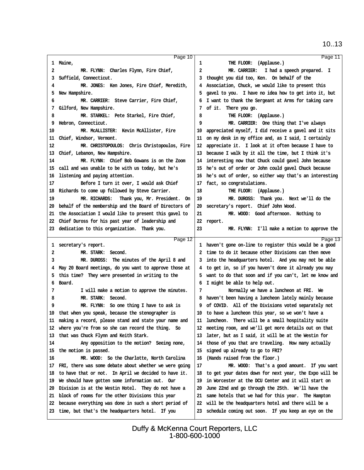<span id="page-4-0"></span>

| Page 10                                                                                                        |                                                                                                                 | Page 11 |
|----------------------------------------------------------------------------------------------------------------|-----------------------------------------------------------------------------------------------------------------|---------|
| 1 Maine,                                                                                                       | THE FLOOR: (Applause.)<br>1                                                                                     |         |
| 2<br>MR. FLYNN: Charles Flynn, Fire Chief,                                                                     | 2<br>MR. CARRIER: I had a speech prepared. I                                                                    |         |
| 3 Suffield, Connecticut.                                                                                       | 3 thought you did too, Ken. On behalf of the                                                                    |         |
| MR. JONES: Ken Jones, Fire Chief, Meredith,<br>4                                                               | 4 Association, Chuck, we would like to present this                                                             |         |
| 5 New Hampshire.                                                                                               | 5 gavel to you. I have no idea how to get into it, but                                                          |         |
| MR. CARRIER: Steve Carrier, Fire Chief,<br>6                                                                   | 6 I want to thank the Sergeant at Arms for taking care                                                          |         |
| 7 Gilford, New Hampshire.                                                                                      | 7 of it. There you go.                                                                                          |         |
| MR. STARKEL: Pete Starkel, Fire Chief,<br>8                                                                    | 8<br>THE FLOOR: (Applause.)                                                                                     |         |
| 9 Hebron, Connecticut.                                                                                         | 9<br>MR. CARRIER: One thing that I've always                                                                    |         |
| MR. McALLISTER: Kevin McAllister, Fire<br>10                                                                   | 10 appreciated myself, I did receive a gavel and it sits                                                        |         |
| 11 Chief, Windsor, Vermont.                                                                                    | 11 on my desk in my office and, as I said, I certainly                                                          |         |
| 12<br>MR. CHRISTOPOULOS: Chris Christopoulos, Fire                                                             | 12 appreciate it. I look at it often because I have to                                                          |         |
| 13 Chief, Lebanon, New Hampshire.                                                                              | 13 because I walk by it all the time, but I think it's                                                          |         |
| MR. FLYNN: Chief Bob Gowans is on the Zoom<br>14                                                               | 14 interesting now that Chuck could gavel John because                                                          |         |
| 15 call and was unable to be with us today, but he's                                                           | 15 he's out of order or John could gavel Chuck because                                                          |         |
| 16 listening and paying attention.                                                                             | 16 he's out of order, so either way that's an interesting                                                       |         |
| Before I turn it over, I would ask Chief<br>17                                                                 | 17 fact, so congratulations.                                                                                    |         |
| 18 Richards to come up followed by Steve Carrier.                                                              | 18<br>THE FLOOR: (Applause.)                                                                                    |         |
| MR. RICHARDS: Thank you, Mr. President. On<br>19                                                               | MR. DUROSS: Thank you. Next we'll do the<br>19                                                                  |         |
| 20 behalf of the membership and the Board of Directors of                                                      | 20 secretary's report. Chief John Wood.                                                                         |         |
| 21 the Association I would like to present this gavel to                                                       | MR. WOOD: Good afternoon. Nothing to<br>21                                                                      |         |
| 22 Chief Duross for his past year of leadership and                                                            | 22 report.                                                                                                      |         |
| 23 dedication to this organization. Thank you.                                                                 | 23<br>MR. FLYNN: I'll make a motion to approve the                                                              |         |
|                                                                                                                |                                                                                                                 |         |
|                                                                                                                |                                                                                                                 |         |
| Page 12                                                                                                        |                                                                                                                 | Page 13 |
| 1 secretary's report.                                                                                          | 1 haven't gone on-line to register this would be a good                                                         |         |
| MR. STARK: Second.<br>2<br>3                                                                                   | 2 time to do it because other Divisions can then move                                                           |         |
| MR. DUROSS: The minutes of the April 8 and                                                                     | 3 into the headquarters hotel. And you may not be able                                                          |         |
| 4 May 20 Board meetings, do you want to approve those at                                                       | 4 to get in, so if you haven't done it already you may                                                          |         |
| 5 this time? They were presented in writing to the                                                             | 5 want to do that soon and if you can't, let me know and                                                        |         |
| 6 Board.                                                                                                       | 6 I might be able to help out.<br>7                                                                             |         |
| I will make a motion to approve the minutes.<br>7                                                              | Normally we have a luncheon at FRI. We                                                                          |         |
| MR. STARK: Second.<br>8<br>9                                                                                   | 8 haven't been having a luncheon lately mainly because                                                          |         |
| MR. FLYNN: So one thing I have to ask is                                                                       | 9 of COVID. All of the Divisions voted separately not                                                           |         |
| 10 that when you speak, because the stenographer is                                                            | 10 to have a luncheon this year, so we won't have a                                                             |         |
| 11 making a record, please stand and state your name and                                                       | 11 luncheon. There will be a small hospitality suite                                                            |         |
| 12 where you're from so she can record the thing. So                                                           | 12 meeting room, and we'll get more details out on that                                                         |         |
| 13 that was Chuck Flynn and Keith Stark.                                                                       | 13 later, but as I said, it will be at the Westin for                                                           |         |
| Any opposition to the motion? Seeing none,<br>14                                                               | 14 those of you that are traveling. How many actually                                                           |         |
| 15 the motion is passed.<br>16                                                                                 | 15 signed up already to go to FRI?                                                                              |         |
| MR. WOOD: So the Charlotte, North Carolina                                                                     | 16 (Hands raised from the floor.)<br>17                                                                         |         |
| 17 FRI, there was some debate about whether we were going                                                      | MR. WOOD: That's a good amount. If you want                                                                     |         |
| 18 to have that or not. In April we decided to have it.                                                        | 18 to get your dates down for next year, the Expo will be                                                       |         |
| 19 We should have gotten some information out. Our                                                             | 19 in Worcester at the DCU Center and it will start on                                                          |         |
| 20 Division is at the Westin Hotel. They do not have a                                                         | 20 June 22nd and go through the 25th. We'll have the                                                            |         |
| 21 block of rooms for the other Divisions this year                                                            | 21 same hotels that we had for this year. The Hampton                                                           |         |
| 22 because everything was done in such a short period of<br>23 time, but that's the headquarters hotel. If you | 22 will be the headquarters hotel and there will be a<br>23 schedule coming out soon. If you keep an eye on the |         |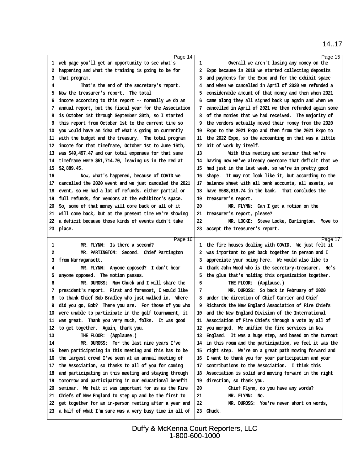#### <span id="page-5-0"></span>Page 14 1 web page you'll get an opportunity to see what's 2 happening and what the training is going to be for 3 that program. 4 That's the end of the secretary's report. 5 Now the treasurer's report. The total ·6· income according to this report -- normally we do an ·7· annual report, but the fiscal year for the Association ·8· is October 1st through September 30th, so I started 9 this report from October 1st to the current time so 10· you would have an idea of what's going on currently 11 with the budget and the treasury. The total program 12 income for that timeframe, October 1st to June 16th, 13· was \$49,497.47 and our total expenses for that same 14 timeframe were \$51,714.70, leaving us in the red at 15· \$2,889.45. 16 Now, what's happened, because of COVID we 17 cancelled the 2020 event and we just canceled the 2021 18 event, so we had a lot of refunds, either partial or 19 full refunds, for vendors at the exhibitor's space. 20 So, some of that money will come back or all of it 21 will come back, but at the present time we're showing 22 a deficit because those kinds of events didn't take 23 place. Page 15 Overall we aren't losing any money on the 2 Expo because in 2019 we started collecting deposits 3 and payments for the Expo and for the exhibit space 4 and when we cancelled in April of 2020 we refunded a ·5· considerable amount of that money and then when 2021 ·6· came along they all signed back up again and when we 7 cancelled in April of 2021 we then refunded again some 8 of the monies that we had received. The majority of 9 the vendors actually moved their money from the 2020 10 Expo to the 2021 Expo and then from the 2021 Expo to 11 the 2022 Expo, so the accounting on that was a little 12 bit of work by itself. 13 With this meeting and seminar that we're 14 having now we've already overcome that deficit that we 15 had just in the last week, so we're in pretty good 16 shape. It may not look like it, but according to the 17 balance sheet with all bank accounts, all assets, we 18 have \$588,819.74 in the bank. That concludes the 19 treasurer's report. 20 MR. FLYNN: Can I get a motion on the 21 treasurer's report, please? 22 MR. LOCKE: Steve Locke, Burlington. Move to 23 accept the treasurer's report. Page 16 1 MR. FLYNN: Is there a second? 2 MR. PARTINGTON: Second. Chief Partington 3 from Narragansett. 4 MR. FLYNN: Anyone opposed? I don't hear 5 anyone opposed. The motion passes. ·6· · · · · ·MR. DUROSS:· Now Chuck and I will share the 7 president's report. First and foremost, I would like 8 to thank Chief Bob Bradley who just walked in. Where 9 did you go, Bob? There you are. For those of you who 10 were unable to participate in the golf tournament, it 11 was great. Thank you very much, folks. It was good 12 to get together. Again, thank you. 13 THE FLOOR: (Applause.) 14 MR. DUROSS: For the last nine years I've 15 been participating in this meeting and this has to be 16 the largest crowd I've seen at an annual meeting of 17 the Association, so thanks to all of you for coming 18 and participating in this meeting and staying through 19 tomorrow and participating in our educational benefit 20 seminar. We felt it was important for us as the Fire 21 Chiefs of New England to step up and be the first to 22 get together for an in-person meeting after a year and 23 a half of what I'm sure was a very busy time in all of Page 17 1 the fire houses dealing with COVID. We just felt it 2 was important to get back together in person and I 3 appreciate your being here. We would also like to 4 thank John Wood who is the secretary-treasurer. He's 5 the glue that's holding this organization together. 6 THE FLOOR: (Applause.) 7 MR. DUROSS: So back in February of 2020 8 under the direction of Chief Carrier and Chief 9 Richards the New England Association of Fire Chiefs 10 and the New England Division of the International 11 Association of Fire Chiefs through a vote by all of 12 you merged. We unified the fire services in New 13 England. It was a huge step, and based on the turnout 14 in this room and the participation, we feel it was the 15 right step. We're on a great path moving forward and 16 I want to thank you for your participation and your 17 contributions to the Association. I think this 18 Association is solid and moving forward in the right 19 direction, so thank you. 20 Chief Flynn, do you have any words? 21 **MR. FLYNN: No.** 22 MR. DUROSS: You're never short on words, 23 Chuck.

### 14.17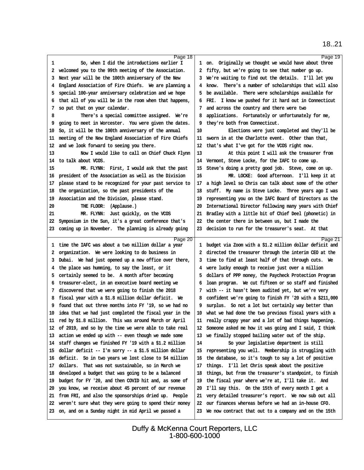<span id="page-6-0"></span>Page 18 So, when I did the introductions earlier I 2 welcomed you to the 99th meeting of the Association. 3 Next year will be the 100th anniversary of the New 4 England Association of Fire Chiefs. We are planning a 5 special 100-year anniversary celebration and we hope ·6· that all of you will be in the room when that happens, 7 so put that on your calendar. There's a special committee assigned. We're 9 going to meet in Worcester. You were given the dates. 10 So, it will be the 100th anniversary of the annual 11 meeting of the New England Association of Fire Chiefs 12 and we look forward to seeing you there. 13 Now I would like to call on Chief Chuck Flynn 14 to talk about VCOS. 15 MR. FLYNN: First, I would ask that the past 16 president of the Association as well as the Division 17 please stand to be recognized for your past service to 18 the organization, so the past presidents of the 19 Association and the Division, please stand. 20 THE FLOOR: (Applause.) 21 MR. FLYNN: Just quickly, on the VCOS 22 Symposium in the Sun, it's a great conference that's 23 coming up in November. The planning is already going Page 19 1 on. Originally we thought we would have about three 2 fifty, but we're going to see that number go up. 3 We're waiting to find out the details. I'll let you 4 know. There's a number of scholarships that will also 5 be available. There were scholarships available for 6 FRI. I know we pushed for it hard out in Connecticut 7 and across the country and there were two 8 applications. Fortunately or unfortunately for me, 9 they're both from Connecticut. 10 Elections were just completed and they'll be 11 sworn in at the Charlotte event. Other than that, 12 that's what I've got for the VCOS right now. 13 At this point I will ask the treasurer from 14 Vermont, Steve Locke, for the IAFC to come up. 15 Steve's doing a pretty good job. Steve, come on up. 16 MR. LOCKE: Good afternoon. I'll keep it at 17 a high level so Chris can talk about some of the other 18 stuff. My name is Steve Locke. Three years ago I was 19 representing you on the IAFC Board of Directors as the 20 International Director following many years with Chief 21 Bradley with a little bit of Chief Deel (phonetic) in 22 the center there in between us, but I made the 23 decision to run for the treasurer's seat. At that Page 20 1 time the IAFC was about a two million dollar a year 2 organization. We were looking to do business in 3 Dubai. We had just opened up a new office over there, 4 the place was humming, to say the least, or it 5 certainly seemed to be. A month after becoming ·6· treasurer-elect, in an executive board meeting we 7 discovered that we were going to finish the 2018 8 fiscal year with a \$1.8 million dollar deficit. We 9 found that out three months into FY '19, so we had no 10 idea that we had just completed the fiscal year in the 11 red by \$1.8 million. This was around March or April 12 of 2019, and so by the time we were able to take real 13 action we ended up with -- even though we made some 14 staff changes we finished FY '19 with a \$1.2 million 15 dollar deficit -- I'm sorry -- a \$1.5 million dollar 16 deficit. So in two years we lost close to \$4 million 17 dollars. That was not sustainable, so in March we 18 developed a budget that was going to be a balanced 19 budget for FY '20, and then COVID hit and, as some of 20· you know, we receive about 45 percent of our revenue 21 from FRI, and also the sponsorships dried up. People 22 weren't sure what they were going to spend their money 23 on, and on a Sunday night in mid April we passed a Page 21 1 budget via Zoom with a \$1.2 million dollar deficit and 2 directed the treasurer through the interim CEO at the 3 time to find at least half of that through cuts. We 4 were lucky enough to receive just over a million ·5· dollars of PPP money, the Paycheck Protection Program 6 loan program. We cut fifteen or so staff and finished 7 with -- it hasn't been audited yet, but we're very ·8· confident we're going to finish FY '20 with a \$211,000 9 surplus. So not a lot but certainly way better than 10 what we had done the two previous fiscal years with a 11 really crappy year and a lot of bad things happening. 12 Someone asked me how it was going and I said, I think 13 we finally stopped bailing water out of the ship. 14 So your legislative department is still 15 representing you well. Membership is struggling with 16 the database, so it's tough to say a lot of positive 17 things. I'll let Chris speak about the positive 18 things, but from the treasurer's standpoint, to finish 19 the fiscal year where we're at, I'll take it. And 20 I'll say this. On the 15th of every month I get a 21 very detailed treasurer's report. We now sub out all 22 our finances whereas before we had an in-house CFO. 23 We now contract that out to a company and on the 15th

> Duffy & McKenna Court Reporters, LLC 1-800-600-1000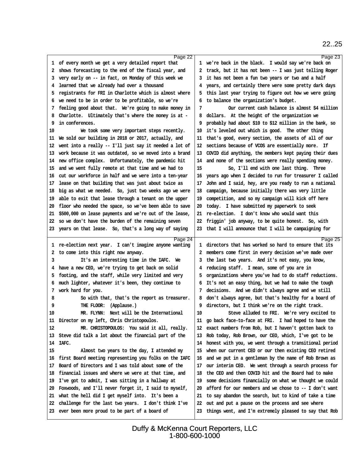<span id="page-7-0"></span>

|                                                            | Page 22 |                                                           | Page 23 |
|------------------------------------------------------------|---------|-----------------------------------------------------------|---------|
| 1 of every month we get a very detailed report that        |         | 1 we're back in the black. I would say we're back on      |         |
| 2 shows forecasting to the end of the fiscal year, and     |         | 2 track, but it has not been -- I was just telling Roger  |         |
| 3 very early on -- in fact, on Monday of this week we      |         | 3 it has not been a fun two years or two and a half       |         |
| 4 learned that we already had over a thousand              |         | 4 years, and certainly there were some pretty dark days   |         |
| 5 registrants for FRI in Charlotte which is almost where   |         | 5 this last year trying to figure out how we were going   |         |
| 6 we need to be in order to be profitable, so we're        |         | 6 to balance the organization's budget.                   |         |
| 7 feeling good about that. We're going to make money in    |         | Our current cash balance is almost \$4 million<br>7       |         |
| 8 Charlotte. Ultimately that's where the money is at -     |         | 8 dollars. At the height of the organization we           |         |
| 9 in conferences.                                          |         | 9 probably had about \$10 to \$12 million in the bank, so |         |
| 10<br>We took some very important steps recently.          |         | 10 it's leveled out which is good. The other thing        |         |
| 11 We sold our building in 2018 or 2017, actually, and     |         | 11 that's good, every section, the assets of all of our   |         |
| 12 went into a really -- I'll just say it needed a lot of  |         | 12 sections because of VCOS are essentially more. If      |         |
| 13 work because it was outdated, so we moved into a brand  |         | 13 COVID did anything, the members kept paying their dues |         |
| 14 new office complex. Unfortunately, the pandemic hit     |         | 14 and none of the sections were really spending money.   |         |
| 15 and we went fully remote at that time and we had to     |         | 15<br>So, I'll end with one last thing. Three             |         |
| 16 cut our workforce in half and we were into a ten-year   |         | 16 years ago when I decided to run for treasurer I called |         |
| 17 lease on that building that was just about twice as     |         | 17 John and I said, hey, are you ready to run a national  |         |
| 18 big as what we needed. So, just two weeks ago we were   |         | 18 campaign, because initially there was very little      |         |
| 19 able to exit that lease through a tenant on the upper   |         | 19 competition, and so my campaign will kick off here     |         |
| 20 floor who needed the space, so we've been able to save  |         | 20 today. I have submitted my paperwork to seek           |         |
| 21 \$500,000 on lease payments and we're out of the lease, |         | 21 re-election. I don't know who would want this          |         |
| 22 so we don't have the burden of the remaining seven      |         | 22 friggin' job anyway, to be quite honest. So, with      |         |
| 23 years on that lease. So, that's a long way of saying    |         | 23 that I will announce that I will be campaigning for    |         |
|                                                            |         |                                                           |         |
|                                                            |         |                                                           |         |
| 1 re-election next year. I can't imagine anyone wanting    | Page 24 | 1 directors that has worked so hard to ensure that its    | Page 25 |
| 2 to come into this right now anyway.                      |         | 2 members come first in every decision we've made over    |         |
| 3<br>It's an interesting time in the IAFC. We              |         | 3 the last two years. And it's not easy, you know,        |         |
| 4 have a new CEO, we're trying to get back on solid        |         | 4 reducing staff. I mean, some of you are in              |         |
| 5 footing, and the staff, while very limited and very      |         | 5 organizations where you've had to do staff reductions.  |         |
| 6 much lighter, whatever it's been, they continue to       |         | 6 It's not an easy thing, but we had to make the tough    |         |
| 7 work hard for you.                                       |         | 7 decisions. And we didn't always agree and we still      |         |
| So with that, that's the report as treasurer.<br>8         |         | 8 don't always agree, but that's healthy for a board of   |         |
| THE FLOOR: (Applause.)<br>9                                |         | 9 directors, but I think we're on the right track.        |         |
| MR. FLYNN: Next will be the International<br>10            |         | 10<br>Steve alluded to FRI. We're very excited to         |         |
| 11 Director on my left, Chris Christopoulos.               |         | 11 go back face-to-face at FRI. I had hoped to have the   |         |
| MR. CHRISTOPOULOS: You said it all, really.<br>12          |         | 12 exact numbers from Rob, but I haven't gotten back to   |         |
| 13 Steve did talk a lot about the financial part of the    |         | 13 Rob today, Rob Brown, our CEO, which, I've got to be   |         |
| 14 IAFC.                                                   |         | 14 honest with you, we went through a transitional period |         |
| 15<br>Almost two years to the day, I attended my           |         | 15 when our current CEO or our then existing CEO retired  |         |
| 16 first Board meeting representing you folks on the IAFC  |         | 16 and we put in a gentleman by the name of Rob Brown as  |         |
| 17 Board of Directors and I was told about some of the     |         | 17 our interim CEO. We went through a search process for  |         |
| 18 financial issues and where we were at that time, and    |         | 18 the CEO and then COVID hit and the Board had to make   |         |
| 19 I've got to admit, I was sitting in a hallway at        |         | 19 some decisions financially on what we thought we could |         |
| 20 Foxwoods, and I'll never forget it, I said to myself,   |         | 20 afford for our members and we chose to -- I don't want |         |
| 21 what the hell did I get myself into. It's been a        |         | 21 to say abandon the search, but to kind of take a time  |         |
| 22 challenge for the last two years. I don't think I've    |         | 22 out and put a pause on the process and see where       |         |
| 23 ever been more proud to be part of a board of           |         | 23 things went, and I'm extremely pleased to say that Rob |         |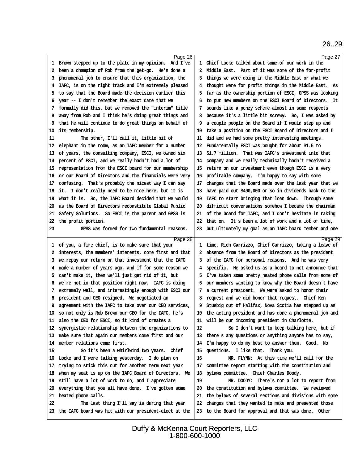<span id="page-8-0"></span>

| Page 26                                                                                                  |                                                                                                                  | Page 27 |
|----------------------------------------------------------------------------------------------------------|------------------------------------------------------------------------------------------------------------------|---------|
| 1 Brown stepped up to the plate in my opinion. And I've                                                  | 1 Chief Locke talked about some of our work in the                                                               |         |
| 2 been a champion of Rob from the get-go. He's done a                                                    | 2 Middle East. Part of it was some of the for-profit                                                             |         |
| 3 phenomenal job to ensure that this organization, the                                                   | 3 things we were doing in the Middle East or what we                                                             |         |
| 4 IAFC, is on the right track and I'm extremely pleased                                                  | 4 thought were for profit things in the Middle East. As                                                          |         |
| 5 to say that the Board made the decision earlier this                                                   | 5 far as the ownership portion of ESCI, GPSS was looking                                                         |         |
| 6 year -- I don't remember the exact date that we                                                        | 6 to put new members on the ESCI Board of Directors. It                                                          |         |
| 7 formally did this, but we removed the "interim" title                                                  | 7 sounds like a ponzy scheme almost in some respects                                                             |         |
| 8 away from Rob and I think he's doing great things and                                                  | 8 because it's a little bit screwy. So, I was asked by                                                           |         |
| 9 that he will continue to do great things on behalf of                                                  | 9 a couple people on the Board if I would step up and                                                            |         |
| 10 its membership.                                                                                       | 10 take a position on the ESCI Board of Directors and I                                                          |         |
| 11<br>The other, I'll call it, little bit of                                                             | 11 did and we had some pretty interesting meetings.                                                              |         |
| 12 elephant in the room, as an IAFC member for a number                                                  | 12 Fundamentally ESCI was bought for about \$1.5 to                                                              |         |
| 13 of years, the consulting company, ESCI, we owned six                                                  | 13 \$1.7 million. That was IAFC's investment into that                                                           |         |
| 14 percent of ESCI, and we really hadn't had a lot of                                                    | 14 company and we really technically hadn't received a                                                           |         |
| 15 representation from the ESCI board for our membership                                                 | 15 return on our investment even though ESCI is a very                                                           |         |
| 16 or our Board of Directors and the financials were very                                                | 16 profitable company. I'm happy to say with some                                                                |         |
| 17 confusing. That's probably the nicest way I can say                                                   | 17 changes that the Board made over the last year that we                                                        |         |
| 18 it. I don't really need to be nice here, but it is                                                    | 18 have paid out \$400,000 or so in dividends back to the                                                        |         |
| 19 what it is. So, the IAFC Board decided that we would                                                  | 19 IAFC to start bringing that loan down. Through some                                                           |         |
| 20 as the Board of Directors reconstitute Global Public                                                  | 20 difficult conversations somehow I became the chairman                                                         |         |
| 21 Safety Solutions. So ESCI is the parent and GPSS is                                                   | 21 of the board for IAFC, and I don't hesitate in taking                                                         |         |
|                                                                                                          |                                                                                                                  |         |
| 22 the profit portion.                                                                                   | 22 that on. It's been a lot of work and a lot of time,                                                           |         |
| 23<br>GPSS was formed for two fundamental reasons.                                                       | 23 but ultimately my goal as an IAFC board member and one                                                        |         |
|                                                                                                          |                                                                                                                  |         |
| Page 28                                                                                                  |                                                                                                                  | Page 29 |
| 1 of you, a fire chief, is to make sure that your                                                        | 1 time, Rich Carrizzo, Chief Carrizzo, taking a leave of                                                         |         |
| 2 interests, the members' interests, come first and that                                                 | 2 absence from the Board of Directors as the president                                                           |         |
| 3 we repay our return on that investment that the IAFC                                                   | 3 of the IAFC for personal reasons. And he was very                                                              |         |
| 4 made a number of years ago, and if for some reason we                                                  | 4 specific. He asked us as a board to not announce that                                                          |         |
| 5 can't make it, then we'll just get rid of it, but                                                      | 5 I've taken some pretty heated phone calls from some of                                                         |         |
| 6 we're not in that position right now. IAFC is doing                                                    | 6 our members wanting to know why the Board doesn't have                                                         |         |
| 7 extremely well, and interestingly enough with ESCI our                                                 | 7 a current president. We were asked to honor their                                                              |         |
| 8 president and CEO resigned. We negotiated an                                                           | 8 request and we did honor that request. Chief Ken                                                               |         |
| 9 agreement with the IAFC to take over our CEO services,                                                 | 9 Stuebig out of Halifax, Nova Scotia has stepped up as                                                          |         |
| 10 so not only is Rob Brown our CEO for the IAFC, he's                                                   | 10 the acting president and has done a phenomenal job and                                                        |         |
| 11 also the CEO for ESCI, so it kind of creates a                                                        | 11 will be our incoming president in Charlotte.                                                                  |         |
| 12 synergistic relationship between the organizations to                                                 | 12<br>So I don't want to keep talking here, but if                                                               |         |
| 13 make sure that again our members come first and our                                                   | 13 there's any questions or anything anyone has to say,                                                          |         |
| 14 member relations come first.                                                                          | 14 I'm happy to do my best to answer them. Good. No                                                              |         |
| 15<br>So it's been a whirlwind two years. Chief                                                          | 15 questions. I like that. Thank you.                                                                            |         |
| 16 Locke and I were talking yesterday. I do plan on                                                      | 16<br>MR. FLYNN: At this time we'll call for the                                                                 |         |
| 17 trying to stick this out for another term next year                                                   | 17 committee report starting with the constitution and                                                           |         |
| 18 when my seat is up on the IAFC Board of Directors. We                                                 | 18 bylaws committee. Chief Charles Doody.                                                                        |         |
| 19 still have a lot of work to do, and I appreciate                                                      | 19<br>MR. DOODY: There's not a lot to report from                                                                |         |
| 20 everything that you all have done. I've gotten some                                                   | 20 the constitution and bylaws committee. We reviewed                                                            |         |
|                                                                                                          |                                                                                                                  |         |
| 21 heated phone calls.<br>22                                                                             | 21 the bylaws of several sections and divisions with some                                                        |         |
| The last thing I'll say is during that year<br>23 the IAFC board was hit with our president-elect at the | 22 changes that they wanted to make and presented those<br>23 to the Board for approval and that was done. Other |         |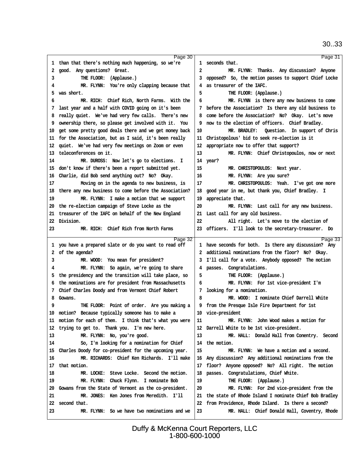<span id="page-9-0"></span>

| Page 30                                                   |                                                           | Page 31 |
|-----------------------------------------------------------|-----------------------------------------------------------|---------|
| 1 than that there's nothing much happening, so we're      | 1 seconds that.                                           |         |
| 2 good. Any questions? Great.                             | 2<br>MR. FLYNN: Thanks. Any discussion? Anyone            |         |
| THE FLOOR: (Applause.)<br>3                               | 3 opposed? So, the motion passes to support Chief Locke   |         |
| MR. FLYNN: You're only clapping because that<br>4         | 4 as treasurer of the IAFC.                               |         |
| 5 was short.                                              | 5<br>THE FLOOR: (Applause.)                               |         |
| MR. RICH: Chief Rich, North Farms. With the<br>6          | MR. FLYNN is there any new business to come<br>6          |         |
| 7 last year and a half with COVID going on it's been      | 7 before the Association? Is there any old business to    |         |
| 8 really quiet. We've had very few calls. There's new     | 8 come before the Association? No? Okay. Let's move       |         |
| 9 ownership there, so please get involved with it. You    | 9 now to the election of officers. Chief Bradley.         |         |
| 10 get some pretty good deals there and we get money back | MR. BRADLEY: Question. In support of Chris<br>10          |         |
| 11 for the Association, but as I said, it's been really   | 11 Christopolous' bid to seek re-election is it           |         |
| 12 quiet. We've had very few meetings on Zoom or even     | 12 appropriate now to offer that support?                 |         |
| 13 teleconferences on it.                                 | 13<br>MR. FLYNN: Chief Christopoulos, now or next         |         |
| MR. DUROSS: Now let's go to elections. I<br>14            | 14 year?                                                  |         |
| 15 don't know if there's been a report submitted yet.     | 15<br>MR. CHRISTOPOULOS: Next year.                       |         |
| 16 Charlie, did Bob send anything out? No? Okay.          | MR. FLYNN: Are you sure?<br>16                            |         |
| 17<br>Moving on in the agenda to new business, is         | MR. CHRISTOPOULOS: Yeah. I've got one more<br>17          |         |
| 18 there any new business to come before the Association? | 18 good year in me, but thank you, Chief Bradley. I       |         |
| 19<br>MR. FLYNN: I make a motion that we support          | 19 appreciate that.                                       |         |
| 20 the re-election campaign of Steve Locke as the         | 20<br>MR. FLYNN: Last call for any new business.          |         |
| 21 treasurer of the IAFC on behalf of the New England     | 21 Last call for any old business.                        |         |
| 22 Division.                                              | 22<br>All right. Let's move to the election of            |         |
| MR. RICH: Chief Rich from North Farms<br>23.              | 23 officers. I'll look to the secretary-treasurer. Do     |         |
| Page 32                                                   |                                                           | Page 33 |
|                                                           |                                                           |         |
| 1 you have a prepared slate or do you want to read off    | 1 have seconds for both. Is there any discussion? Any     |         |
| 2 of the agenda?                                          | 2 additional nominations from the floor? No? Okay.        |         |
| 3<br>MR. WOOD: You mean for president?                    | 3 I'll call for a vote. Anybody opposed? The motion       |         |
| MR. FLYNN: So again, we're going to share<br>4            | 4 passes. Congratulations.                                |         |
| 5 the presidency and the transition will take place, so   | THE FLOOR: (Applause.)<br>5                               |         |
| 6 the nominations are for president from Massachusetts    | MR. FLYNN: For 1st vice-president I'm<br>6                |         |
| 7 Chief Charles Doody and from Vermont Chief Robert       | 7 looking for a nomination.                               |         |
| 8 Gowans.                                                 | MR. WOOD: I nominate Chief Darrell White<br>8             |         |
| THE FLOOR: Point of order. Are you making a<br>9          | 9 from the Presque Isle Fire Department for 1st           |         |
| 10 motion? Because typically someone has to make a        | 10 vice-president                                         |         |
| 11 motion for each of them. I think that's what you were  | 11<br>MR. FLYNN: John Wood makes a motion for             |         |
| 12 trying to get to. Thank you. I'm new here.             | 12 Darrell White to be 1st vice-president.                |         |
| MR. FLYNN: No, you're good.<br>13                         | 13<br>MR. HALL: Donald Hall from Conentry. Second         |         |
| So, I'm looking for a nomination for Chief<br>14          | 14 the motion.                                            |         |
| 15 Charles Doody for co-president for the upcoming year.  | 15<br>MR. FLYNN: We have a motion and a second.           |         |
| 16<br>MR. RICHARDS: Chief Ken Richards. I'll make         | 16 Any discussion? Any additional nominations from the    |         |
| 17 that motion.                                           | 17 floor? Anyone opposed? No? All right. The motion       |         |
| MR. LOCKE: Steve Locke. Second the motion.<br>18          | 18 passes. Congratulations, Chief White.                  |         |
| 19<br>MR. FLYNN: Chuck Flynn. I nominate Bob              | THE FLOOR: (Applause.)<br>19                              |         |
| 20 Gowans from the State of Vermont as the co-president.  | 20<br>MR. FLYNN: For 2nd vice-president from the          |         |
| MR. JONES: Ken Jones from Meredith. I'll<br>21            | 21 the state of Rhode Island I nominate Chief Bob Bradley |         |
| 22 second that.                                           | 22 from Providence, Rhode Island. Is there a second?      |         |
| MR. FLYNN: So we have two nominations and we<br>23        | 23<br>MR. HALL: Chief Donald Hall, Coventry, Rhode        |         |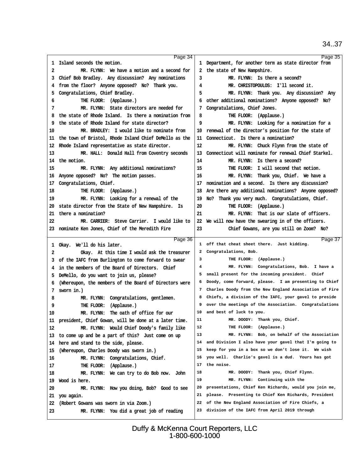<span id="page-10-0"></span>

| Page 34                                                                                                     |                                                          | Page 35 |
|-------------------------------------------------------------------------------------------------------------|----------------------------------------------------------|---------|
| 1 Island seconds the motion.                                                                                | 1 Department, for another term as state director from    |         |
| 2<br>MR. FLYNN: We have a motion and a second for                                                           | 2 the state of New Hampshire.                            |         |
| 3 Chief Bob Bradley. Any discussion? Any nominations                                                        | MR. FLYNN: Is there a second?<br>3                       |         |
| 4 from the floor? Anyone opposed? No? Thank you.                                                            | MR. CHRISTOPOULOS: I'll second it.<br>4                  |         |
| 5 Congratulations, Chief Bradley.                                                                           | 5<br>MR. FLYNN: Thank you. Any discussion? Any           |         |
| THE FLOOR: (Applause.)<br>6                                                                                 | 6 other additional nominations? Anyone opposed? No?      |         |
| MR. FLYNN: State directors are needed for<br>7                                                              | 7 Congratulations, Chief Jones.                          |         |
| 8 the state of Rhode Island. Is there a nomination from                                                     | 8<br>THE FLOOR: (Applause.)                              |         |
| 9 the state of Rhode Island for state director?                                                             | 9<br>MR. FLYNN: Looking for a nomination for a           |         |
| MR. BRADLEY: I would like to nominate from<br>10                                                            | 10 renewal of the director's position for the state of   |         |
| 11 the town of Bristol, Rhode Island Chief DeMello as the                                                   | 11 Connecticut. Is there a nomination?                   |         |
| 12 Rhode Island representative as state director.                                                           | 12<br>MR. FLYNN: Chuck Flynn from the state of           |         |
| 13<br>MR. HALL: Donald Hall from Coventry seconds                                                           | 13 Connecticut will nominate for renewal Chief Starkel.  |         |
| 14 the motion.                                                                                              | MR. FLYNN: Is there a second?<br>14                      |         |
| MR. FLYNN: Any additional nominations?<br>15                                                                | THE FLOOR: I will second that motion.<br>15              |         |
| 16 Anyone opposed? No? The motion passes.                                                                   | 16<br>MR. FLYNN: Thank you, Chief. We have a             |         |
| 17 Congratulations, Chief.                                                                                  | 17 nomination and a second. Is there any discussion?     |         |
| 18<br>THE FLOOR: (Applause.)                                                                                | 18 Are there any additional nominations? Anyone opposed? |         |
| MR. FLYNN: Looking for a renewal of the<br>19                                                               | 19 No? Thank you very much. Congratulations, Chief.      |         |
| 20 state director from the State of New Hampshire. Is                                                       | THE FLOOR: (Applause.)<br>20                             |         |
| 21 there a nomination?                                                                                      | 21<br>MR. FLYNN: That is our slate of officers.          |         |
| MR. CARRIER: Steve Carrier. I would like to<br>22                                                           | 22 We will now have the swearing in of the officers.     |         |
| 23 nominate Ken Jones, Chief of the Meredith Fire                                                           | 23<br>Chief Gowans, are you still on Zoom? No?           |         |
|                                                                                                             |                                                          |         |
|                                                                                                             |                                                          |         |
| Page 36                                                                                                     | 1 off that cheat sheet there. Just kidding.              | Page 37 |
| 1 Okay. We'll do his later.<br>2                                                                            | 2 Congratulations, Bob.                                  |         |
| Okay. At this time I would ask the treasurer                                                                | 3<br>THE FLOOR: (Applause.)                              |         |
| 3 of the IAFC from Burlington to come forward to swear<br>4 in the members of the Board of Directors. Chief | MR. FLYNN: Congratulations, Bob. I have a<br>4           |         |
| 5 DeMello, do you want to join us, please?                                                                  | 5 small present for the incoming president. Chief        |         |
| 6 (Whereupon, the members of the Board of Directors were                                                    | 6 Doody, come forward, please. I am presenting to Chief  |         |
| 7 swom in.)                                                                                                 | 7 Charles Doody from the New England Association of Fire |         |
| MR. FLYNN: Congratulations, gentlemen.<br>8                                                                 | 8 Chiefs, a division of the IAFC, your gavel to preside  |         |
| THE FLOOR: (Applause.)<br>9                                                                                 | 9 over the meetings of the Association. Congratulations  |         |
| MR. FLYNN: The oath of office for our<br>10                                                                 | 10 and best of luck to you.                              |         |
| 11 president, Chief Gowan, will be done at a later time.                                                    | 11<br>MR. DOODY: Thank you, Chief.                       |         |
| 12<br>MR. FLYNN: Would Chief Doody's family like                                                            | 12<br>THE FLOOR: (Applause.)                             |         |
| 13 to come up and be a part of this? Just come on up                                                        | 13<br>MR. FLYNN: Bob, on behalf of the Association       |         |
| 14 here and stand to the side, please.                                                                      | 14 and Division I also have your gavel that I'm going to |         |
| 15 (Whereupon, Charles Doody was swom in.)                                                                  | 15 keep for you in a box so we don't lose it. We wish    |         |
| MR. FLYNN: Congratulations, Chief.<br>16                                                                    | 16 you well. Charlie's gavel is a dud. Yours has got     |         |
| 17<br>THE FLOOR: (Applause.)                                                                                | 17 the noise.                                            |         |
| 18<br>MR. FLYNN: We can try to do Bob now. John                                                             | 18<br>MR. DOODY: Thank you, Chief Flynn.                 |         |
| 19 Wood is here.                                                                                            | 19<br>MR. FLYNN: Continuing with the                     |         |
| MR. FLYNN: How you doing, Bob? Good to see<br>20                                                            | 20 presentations, Chief Ken Richards, would you join me, |         |
| 21 you again.                                                                                               | 21 please. Presenting to Chief Ken Richards, President   |         |
| 22 (Robert Gowans was sworn in via Zoom.)                                                                   | 22 of the New England Association of Fire Chiefs, a      |         |
| 23<br>MR. FLYNN: You did a great job of reading                                                             | 23 division of the IAFC from April 2019 through          |         |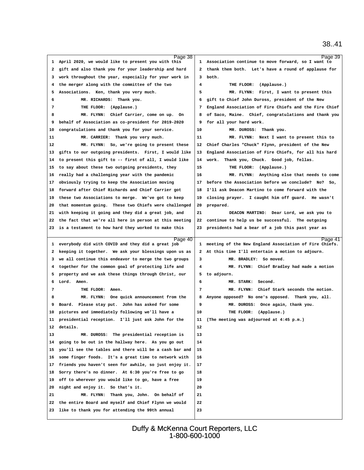| Page 38                                                   |                                                          | Page 39 |
|-----------------------------------------------------------|----------------------------------------------------------|---------|
| 1 April 2020, we would like to present you with this      | 1 Association continue to move forward, so I want to     |         |
| 2 gift and also thank you for your leadership and hard    | 2 thank them both. Let's have a round of applause for    |         |
| 3 work throughout the year, especially for your work in   | 3 both.                                                  |         |
| 4 the merger along with the committee of the two          | 4<br>THE FLOOR: (Applause.)                              |         |
| 5 Associations. Ken, thank you very much.                 | 5<br>MR. FLYNN: First, I want to present this            |         |
| 6<br>MR. RICHARDS: Thank you.                             | 6 gift to Chief John Duross, president of the New        |         |
| THE FLOOR: (Applause.)<br>7                               | 7 England Association of Fire Chiefs and the Fire Chief  |         |
| 8<br>MR. FLYNN: Chief Carrier, come on up. On             | 8 of Saco, Maine. Chief, congratulations and thank you   |         |
| 9 behalf of Association as co-president for 2019-2020     | 9 for all your hard work.                                |         |
| 10 congratulations and thank you for your service.        | 10<br>MR. DUROSS: Thank you.                             |         |
| 11<br>MR. CARRIER: Thank you very much.                   | 11<br>MR. FLYNN: Next I want to present this to          |         |
| 12<br>MR. FLYNN: So, we're going to present these         | 12 Chief Charles "Chuck" Flynn, president of the New     |         |
| 13 gifts to our outgoing presidents. First, I would like  | 13 England Association of Fire Chiefs, for all his hard  |         |
| 14 to present this gift to -- first of all, I would like  | 14 work. Thank you, Chuck. Good job, fellas.             |         |
| 15 to say about these two outgoing presidents, they       | 15<br>THE FLOOR: (Applause.)                             |         |
| 16 really had a challenging year with the pandemic        | 16<br>MR. FLYNN: Anything else that needs to come        |         |
| 17 obviously trying to keep the Association moving        | 17 before the Association before we conclude? No? So,    |         |
| 18 forward after Chief Richards and Chief Carrier got     | 18 I'll ask Deacon Martino to come forward with the      |         |
| 19 these two Associations to merge. We've got to keep     | 19 closing prayer. I caught him off guard. He wasn't     |         |
| 20 that momentum going. These two Chiefs were challenged  | 20 prepared.                                             |         |
| 21 with keeping it going and they did a great job, and    | 21<br>DEACON MARTINO: Dear Lord, we ask you to           |         |
| 22 the fact that we're all here in person at this meeting | 22 continue to help us be successful. The outgoing       |         |
| 23 is a testament to how hard they worked to make this    | 23 presidents had a bear of a job this past year as      |         |
|                                                           |                                                          |         |
|                                                           |                                                          |         |
| Page 40                                                   |                                                          |         |
| 1 everybody did with COVID and they did a great job       | 1 meeting of the New England Association of Fire Chiefs. |         |
| 2 keeping it together. We ask your blessings upon us as   | 2 At this time I'll entertain a motion to adjourn.       |         |
| 3 we all continue this endeavor to merge the two groups   | MR. BRADLEY: So moved.<br>3                              |         |
| 4 together for the common goal of protecting life and     | 4<br>MR. FLYNN: Chief Bradley had made a motion          |         |
| 5 property and we ask these things through Christ, our    | 5 to adjourn.                                            |         |
| 6 Lord. Amen.                                             | 6<br>MR. STARK: Second.                                  |         |
| THE FLOOR: Amen.<br>7                                     | MR. FLYNN: Chief Stark seconds the motion.<br>7          |         |
| MR. FLYNN: One quick announcement from the<br>8           | 8 Anyone opposed? No one's opposed. Thank you, all.      |         |
| 9 Board. Please stay put. John has asked for some         | 9<br>MR. DUROSS: Once again, thank you.                  |         |
| 10 pictures and immediately following we'll have a        | THE FLOOR: (Applause.)<br>10                             |         |
| 11 presidential reception. I'll just ask John for the     | 11 (The meeting was adjourned at 4:45 p.m.)              |         |
| 12 details.                                               | 12                                                       |         |
| 13<br>MR. DUROSS: The presidential reception is           | 13                                                       |         |
| 14 going to be out in the hallway here. As you go out     | 14                                                       |         |
| 15 you'll see the tables and there will be a cash bar and | 15                                                       |         |
| 16 some finger foods. It's a great time to network with   | 16                                                       |         |
| 17 friends you haven't seen for awhile, so just enjoy it. | 17                                                       |         |
| 18 Sorry there's no dinner. At 6:30 you're free to go     | 18                                                       |         |
| 19 off to wherever you would like to go, have a free      | 19                                                       |         |
| 20 night and enjoy it. So that's it.                      | 20                                                       |         |
| MR. FLYNN: Thank you, John. On behalf of<br>21            | 21                                                       |         |
| 22 the entire Board and myself and Chief Flynn we would   | 22                                                       |         |
| 23 like to thank you for attending the 99th annual        | 23                                                       | Page 41 |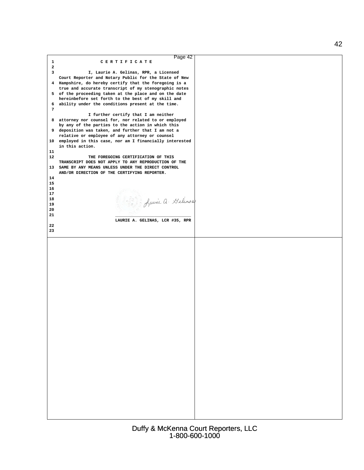| Page 42                                                                                                         |  |
|-----------------------------------------------------------------------------------------------------------------|--|
| $\mathbf{1}$<br>CERTIFICATE                                                                                     |  |
| $\overline{2}$                                                                                                  |  |
| 3<br>I, Laurie A. Gelinas, RPR, a Licensed                                                                      |  |
| Court Reporter and Notary Public for the State of New<br>4 Hampshire, do hereby certify that the foregoing is a |  |
| true and accurate transcript of my stenographic notes                                                           |  |
| 5 of the proceeding taken at the place and on the date                                                          |  |
| hereinbefore set forth to the best of my skill and                                                              |  |
| 6 ability under the conditions present at the time.                                                             |  |
| 7                                                                                                               |  |
| I further certify that I am neither                                                                             |  |
| 8 attorney nor counsel for, nor related to or employed<br>by any of the parties to the action in which this     |  |
| 9 deposition was taken, and further that I am not a                                                             |  |
| relative or employee of any attorney or counsel                                                                 |  |
| 10 employed in this case, nor am I financially interested                                                       |  |
| in this action.                                                                                                 |  |
| 11                                                                                                              |  |
| 12<br>THE FOREGOING CERTIFICATION OF THIS<br>TRANSCRIPT DOES NOT APPLY TO ANY REPRODUCTION OF THE               |  |
| 13 SAME BY ANY MEANS UNLESS UNDER THE DIRECT CONTROL                                                            |  |
| AND/OR DIRECTION OF THE CERTIFYING REPORTER.                                                                    |  |
| 14                                                                                                              |  |
| 15                                                                                                              |  |
| 16                                                                                                              |  |
| 17<br>18                                                                                                        |  |
| 19                                                                                                              |  |
| 20                                                                                                              |  |
| 21                                                                                                              |  |
| LAURIE A. GELINAS, LCR #35, RPR                                                                                 |  |
| 22<br>23                                                                                                        |  |
|                                                                                                                 |  |
|                                                                                                                 |  |
|                                                                                                                 |  |
|                                                                                                                 |  |
|                                                                                                                 |  |
|                                                                                                                 |  |
|                                                                                                                 |  |
|                                                                                                                 |  |
|                                                                                                                 |  |
|                                                                                                                 |  |
|                                                                                                                 |  |
|                                                                                                                 |  |
|                                                                                                                 |  |
|                                                                                                                 |  |
|                                                                                                                 |  |
|                                                                                                                 |  |
|                                                                                                                 |  |
|                                                                                                                 |  |
|                                                                                                                 |  |
|                                                                                                                 |  |
|                                                                                                                 |  |
|                                                                                                                 |  |
|                                                                                                                 |  |
|                                                                                                                 |  |
|                                                                                                                 |  |
|                                                                                                                 |  |
|                                                                                                                 |  |
|                                                                                                                 |  |
|                                                                                                                 |  |
|                                                                                                                 |  |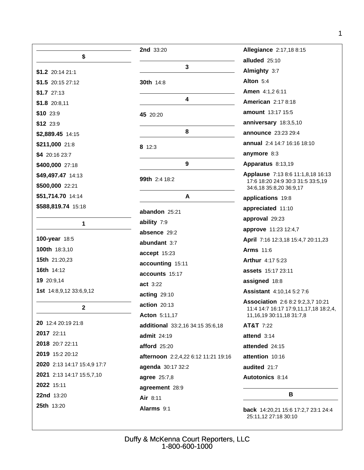| \$                                 |
|------------------------------------|
| \$1.2 20:14 21:1                   |
| $$1.5$ 20:15 27:12                 |
| $$1.7$ 27:13                       |
| $$1.8$ 20:8,11                     |
| \$10 23:9                          |
| \$12 23:9                          |
| \$2,889.45 14:15                   |
| \$211,000 21:8                     |
| \$4 20:16 23:7                     |
| \$400,000 27:18                    |
| \$49,497.47 14:13                  |
| \$500,000 22:21                    |
| \$51,714.70 14:14                  |
| <b>\$588,819.74</b> 15:18          |
|                                    |
| 1                                  |
| <b>100-year</b> 18:5               |
| 100th 18:3,10                      |
| <b>15th</b> 21:20,23               |
| <b>16th</b> 14:12                  |
| 19 20:9,14                         |
| <b>1st</b> $14:8,9,12$ $33:6,9,12$ |
| 2                                  |
| 20 12:4 20:19 21:8                 |
| 2017 22:11                         |
| 2018 20:7 22:11                    |
| 2019 15:2 20:12                    |
| 2020 2:13 14:17 15:4,9 17:7        |
| 2021 2:13 14:17 15:5,7,10          |
| 2022 15:11                         |
| 22nd 13:20                         |
| <b>25th</b> 13:20                  |

| <b>2nd</b> 33:20                    |
|-------------------------------------|
| 3                                   |
| 30th 14:8                           |
| 4                                   |
| 45 20:20                            |
| 8                                   |
| 8 12:3                              |
| 9                                   |
| <b>99th</b> 2:4 18:2                |
| A                                   |
| abandon 25:21                       |
| ability 7:9                         |
| absence 29:2                        |
| abundant 3:7                        |
| accept 15:23                        |
| accounting 15:11                    |
| accounts 15:17                      |
| act 3:22                            |
| acting 29:10                        |
| action 20:13                        |
| <b>Acton 5:11,17</b>                |
| additional 33:2,16 34:15 35:6,18    |
| admit 24:19                         |
| <b>afford</b> 25:20                 |
| afternoon 2:2,4,22 6:12 11:21 19:16 |
| agenda 30:17 32:2                   |
| agree 25:7,8                        |
| agreement 28:9                      |
| Air 8:11                            |
| <b>Alarms 9:1</b>                   |

| Allegiance 2:17,18 8:15                                                                                             |
|---------------------------------------------------------------------------------------------------------------------|
| alluded 25:10                                                                                                       |
| Almighty 3:7                                                                                                        |
| Alton $5:4$                                                                                                         |
| Amen 4:1,2 6:11                                                                                                     |
| <b>American</b> 2:17 8:18                                                                                           |
| <b>amount</b> 13:17 15:5                                                                                            |
| anniversary 18:3,5,10                                                                                               |
| <b>announce</b> 23:23 29:4                                                                                          |
| annual 2:4 14:7 16:16 18:10                                                                                         |
| anymore 8:3                                                                                                         |
| Apparatus 8:13,19                                                                                                   |
| <b>Applause</b> 7:13 8:6 11:1,8,18 16:13<br>17:6 18:20 24:9 30:3 31:5 33:5,19<br>34:6,18 35:8,20 36:9,17            |
| applications 19:8                                                                                                   |
| appreciated 11:10                                                                                                   |
| approval 29:23                                                                                                      |
| approve 11:23 12:4,7                                                                                                |
| April 7:16 12:3,18 15:4,7 20:11,23                                                                                  |
| <b>Arms 11:6</b>                                                                                                    |
| Arthur 4:17 5:23                                                                                                    |
| <b>assets</b> 15:17 23:11                                                                                           |
| assigned 18:8                                                                                                       |
| <b>Assistant</b> 4:10,14 5:2 7:6                                                                                    |
| <b>Association</b> 2:6 8:2 9:2,3,7 10:21<br>11:4 14:7 16:17 17:9,11,17,18 18:2,4,<br>11, 16, 19 30: 11, 18 31: 7, 8 |
| AT&T 7:22                                                                                                           |
| attend $3:14$                                                                                                       |
| attended 24:15                                                                                                      |
| attention 10:16                                                                                                     |
| audited 21:7                                                                                                        |
| <b>Autotonics 8:14</b>                                                                                              |
| в                                                                                                                   |
|                                                                                                                     |

back 14:20,21 15:6 17:2,7 23:1 24:4 25:11,12 27:18 30:10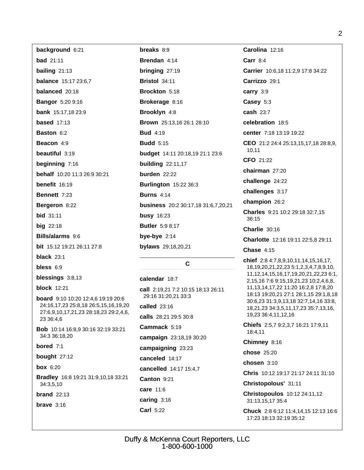| background 6:21                                                                                                                           | breaks 8:9                            | Carolina 12:16                                                                                                                                                                                          |
|-------------------------------------------------------------------------------------------------------------------------------------------|---------------------------------------|---------------------------------------------------------------------------------------------------------------------------------------------------------------------------------------------------------|
| <b>bad</b> 21:11                                                                                                                          | Brendan 4:14                          | Carr $8:4$                                                                                                                                                                                              |
| bailing $21:13$                                                                                                                           | bringing 27:19                        | Carrier 10:6,18 11:2,9 17:8 34:22                                                                                                                                                                       |
| <b>balance</b> 15:17 23:6,7                                                                                                               | <b>Bristol 34:11</b>                  | Carrizzo 29:1                                                                                                                                                                                           |
| balanced 20:18                                                                                                                            | Brockton 5:18                         | carry 3:9                                                                                                                                                                                               |
| <b>Bangor</b> 5:20 9:16                                                                                                                   | Brokerage 8:16                        | Casey 5:3                                                                                                                                                                                               |
| <b>bank</b> 15:17,18 23:9                                                                                                                 | <b>Brooklyn 4:8</b>                   | cash 23:7                                                                                                                                                                                               |
| <b>based</b> $17:13$                                                                                                                      | Brown 25:13,16 26:1 28:10             | celebration 18:5                                                                                                                                                                                        |
| <b>Baston 6:2</b>                                                                                                                         | <b>Bud</b> 4:19                       | center 7:18 13:19 19:22                                                                                                                                                                                 |
| Beacon 4:9                                                                                                                                | <b>Budd</b> 5:15                      | CEO 21:2 24:4 25:13,15,17,18 28:8,9,                                                                                                                                                                    |
| beautiful 3:19                                                                                                                            | budget 14:11 20:18,19 21:1 23:6       | 10,11                                                                                                                                                                                                   |
| beginning 7:16                                                                                                                            | <b>building</b> 22:11,17              | CFO 21:22                                                                                                                                                                                               |
| behalf 10:20 11:3 26:9 30:21                                                                                                              | burden 22:22                          | chairman 27:20                                                                                                                                                                                          |
| benefit $16:19$                                                                                                                           | <b>Burlington 15:22 36:3</b>          | challenge 24:22                                                                                                                                                                                         |
| Bennett 7:23                                                                                                                              | <b>Burns 4:14</b>                     | challenges 3:17                                                                                                                                                                                         |
| Bergeron 8:22                                                                                                                             | business 20:2 30:17,18 31:6,7,20,21   | champion 26:2                                                                                                                                                                                           |
| <b>bid</b> 31:11                                                                                                                          | <b>busy</b> 16:23                     | Charles 9:21 10:2 29:18 32:7,15<br>36:15                                                                                                                                                                |
| <b>big</b> 22:18                                                                                                                          | <b>Butler</b> 5:9 8:17                | Charlie 30:16                                                                                                                                                                                           |
| Bills/alarms 9:6                                                                                                                          | bye-bye $2:14$                        | Charlotte 12:16 19:11 22:5,8 29:11                                                                                                                                                                      |
| bit 15:12 19:21 26:11 27:8                                                                                                                | bylaws 29:18,20,21                    | <b>Chase 4:15</b>                                                                                                                                                                                       |
| black $23:1$                                                                                                                              |                                       | chief 2:8 4:7,8,9,10,11,14,15,16,17,<br>18, 19, 20, 21, 22, 23 5: 1, 2, 3, 4, 7, 8, 9, 10,                                                                                                              |
| bless 6:9                                                                                                                                 | $\mathbf c$                           |                                                                                                                                                                                                         |
| blessings 3:8,13                                                                                                                          | calendar 18:7                         | 11, 12, 14, 15, 16, 17, 19, 20, 21, 22, 23 6: 1,<br>2, 15, 16 7: 6 9: 15, 19, 21, 23 10: 2, 4, 6, 8,                                                                                                    |
| <b>block</b> 12:21<br>board 9:10 10:20 12:4,6 19:19 20:6<br>24:16,17,23 25:8,18 26:5,15,16,19,20<br>27:6,9,10,17,21,23 28:18,23 29:2,4,6, | call 2:19,21 7:2 10:15 18:13 26:11    | 11, 13, 14, 17, 22 11: 20 16: 2, 8 17: 8, 20<br>18:13 19:20,21 27:1 28:1,15 29:1,8,18<br>30:6,23 31:3,9,13,18 32:7,14,16 33:8,<br>18, 21, 23 34: 3, 5, 11, 17, 23 35: 7, 13, 16,<br>19,23 36:4,11,12,16 |
|                                                                                                                                           | 29:16 31:20,21 33:3                   |                                                                                                                                                                                                         |
|                                                                                                                                           | called $23:16$                        |                                                                                                                                                                                                         |
| 23 36:4,6                                                                                                                                 | calls 28:21 29:5 30:8<br>Cammack 5:19 | Chiefs 2:5,7 9:2,3,7 16:21 17:9,11                                                                                                                                                                      |
| Bob 10:14 16:8,9 30:16 32:19 33:21<br>34:3 36:18,20                                                                                       |                                       | 18:4,11                                                                                                                                                                                                 |
| bored $7:1$                                                                                                                               | campaign 23:18,19 30:20               | Chimney 8:16                                                                                                                                                                                            |
| bought $27:12$                                                                                                                            | campaigning 23:23<br>canceled 14:17   | chose 25:20                                                                                                                                                                                             |
| <b>box</b> 6:20                                                                                                                           |                                       | chosen 3:10                                                                                                                                                                                             |
| cancelled 14:17 15:4,7<br>Bradley 16:8 19:21 31:9,10,18 33:21<br>Canton 9:21<br>34:3,5,10<br>care 11:6<br>brand $22:13$                   |                                       | Chris 10:12 19:17 21:17 24:11 31:10                                                                                                                                                                     |
|                                                                                                                                           |                                       | Christopolous' 31:11                                                                                                                                                                                    |
|                                                                                                                                           |                                       | Christopoulos 10:12 24:11,12                                                                                                                                                                            |
| brave $3:16$                                                                                                                              | caring $3:16$<br><b>Carl 5:22</b>     | 31:13,15,17 35:4<br>Chuck 2:8 6:12 11:4,14,15 12:13 16:6                                                                                                                                                |
|                                                                                                                                           |                                       | 17:23 18:13 32:19 35:12                                                                                                                                                                                 |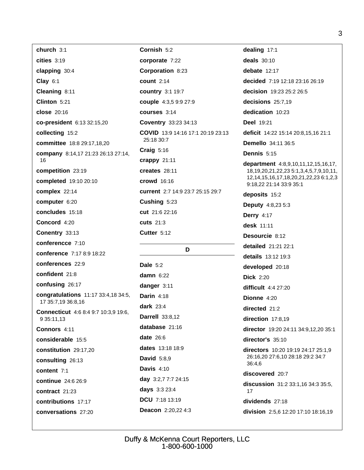| church 3:1                                                | Cornish 5:2                              | dealing 17:1                                                                                             |
|-----------------------------------------------------------|------------------------------------------|----------------------------------------------------------------------------------------------------------|
| cities 3:19                                               | corporate 7:22                           | deals $30:10$                                                                                            |
| clapping 30:4                                             | <b>Corporation 8:23</b>                  | debate $12:17$                                                                                           |
| Clay 6:1                                                  | count $2:14$                             | decided 7:19 12:18 23:16 26:19                                                                           |
| Cleaning 8:11                                             | <b>country 3:1 19:7</b>                  | decision 19:23 25:2 26:5                                                                                 |
| Clinton 5:21                                              | couple 4:3,5 9:9 27:9                    | decisions 25:7,19                                                                                        |
| close 20:16                                               | courses 3:14                             | dedication 10:23                                                                                         |
| co-president 6:13 32:15,20                                | <b>Coventry 33:23 34:13</b>              | <b>Deel 19:21</b>                                                                                        |
| collecting 15:2                                           | <b>COVID</b> 13:9 14:16 17:1 20:19 23:13 | deficit 14:22 15:14 20:8,15,16 21:1                                                                      |
| committee 18:8 29:17,18,20                                | 25:18 30:7                               | <b>Demello</b> 34:11 36:5                                                                                |
| company 8:14,17 21:23 26:13 27:14,                        | Craig $5:16$                             | Dennis 5:15                                                                                              |
| 16                                                        | crappy 21:11                             | department 4:8,9,10,11,12,15,16,17,                                                                      |
| competition 23:19                                         | creates $28:11$                          | 18, 19, 20, 21, 22, 23 5: 1, 3, 4, 5, 7, 9, 10, 11,<br>12, 14, 15, 16, 17, 18, 20, 21, 22, 23 6: 1, 2, 3 |
| completed 19:10 20:10                                     | <b>crowd</b> 16:16                       | 9:18,22 21:14 33:9 35:1                                                                                  |
| complex 22:14                                             | current 2:7 14:9 23:7 25:15 29:7         | deposits 15:2                                                                                            |
| computer 6:20                                             | Cushing 5:23                             | <b>Deputy 4:8,23 5:3</b>                                                                                 |
| concludes 15:18                                           | cut 21:6 22:16                           | <b>Derry 4:17</b>                                                                                        |
| Concord 4:20                                              | <b>cuts</b> 21:3                         | desk $11:11$                                                                                             |
| Conentry 33:13                                            | Cutter 5:12                              | Desourcie 8:12                                                                                           |
| conferencce 7:10                                          | D                                        | detailed 21:21 22:1                                                                                      |
| conference 7:17 8:9 18:22                                 |                                          | details 13:12 19:3                                                                                       |
| conferences 22:9                                          | <b>Dale 5:2</b>                          | developed 20:18                                                                                          |
| confident 21:8                                            | damn $6:22$                              | <b>Dick</b> 2:20                                                                                         |
| confusing 26:17                                           | danger 3:11                              | difficult 4:4 27:20                                                                                      |
| congratulations 11:17 33:4,18 34:5,<br>17 35:7,19 36:8,16 | Darin $4:18$                             | Dionne 4:20                                                                                              |
|                                                           | dark $23:4$                              | directed $21:2$                                                                                          |
| <b>Connecticut</b> 4:6 8:4 9:7 10:3,9 19:6,<br>9 35:11,13 | <b>Darrell</b> 33:8,12                   | direction 17:8,19                                                                                        |
| Connors 4:11                                              | database 21:16                           | director 19:20 24:11 34:9,12,20 35:1                                                                     |
| considerable 15:5                                         | date $26:6$                              | director's 35:10                                                                                         |
| constitution 29:17,20                                     | dates 13:18 18:9                         | directors 10:20 19:19 24:17 25:1,9                                                                       |
| consulting 26:13                                          | <b>David</b> 5:8,9                       | 26:16,20 27:6,10 28:18 29:2 34:7<br>36:4,6<br>discovered 20:7                                            |
| content 7:1                                               | Davis $4:10$                             |                                                                                                          |
| continue 24:6 26:9                                        | day $3:2,77:724:15$                      |                                                                                                          |
| contract 21:23                                            | days 3:3 23:4                            | discussion 31:2 33:1,16 34:3 35:5,<br>17                                                                 |
| contributions 17:17                                       | DCU 7:18 13:19                           | dividends 27:18                                                                                          |
| conversations 27:20                                       | Deacon 2:20,22 4:3                       | division 2:5,6 12:20 17:10 18:16,19                                                                      |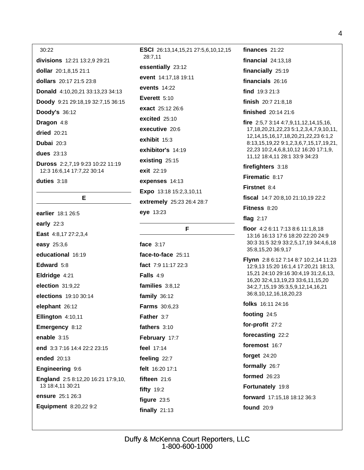#### 30:22

divisions 12:21 13:2,9 29:21 dollar 20:1.8.15 21:1 dollars 20:17 21:5 23:8 Donald 4:10,20,21 33:13,23 34:13 Doody 9:21 29:18,19 32:7,15 36:15 **Doody's 36:12** Dragon 4:8 **dried** 20:21 Dubai  $20:3$ dues  $23:13$ Duross 2:2,7,19 9:23 10:22 11:19 12:3 16:6.14 17:7.22 30:14 duties  $3:18$ 

#### E

earlier 18:1 26:5 early  $22:3$ East 4:8,17 27:2,3,4 easy 25:3,6 educational 16:19 Edward 5:8 Eldridge 4:21 election  $31:9.22$ elections 19:10 30:14 elephant 26:12 Ellington 4:10,11 Emergency 8:12 enable  $3:15$ end 3:3 7:16 14:4 22:2 23:15 ended 20:13 Engineering 9:6 England 2:5 8:12,20 16:21 17:9,10, 13 18:4,11 30:21 ensure 25:1 26:3 Equipment 8:20,22 9:2

ESCI 26:13.14.15.21 27:5.6.10.12.15 28:7.11 essentially 23:12 event 14:17,18 19:11 events 14:22 Everett  $5:10$ exact 25:12 26:6 excited 25:10 executive 20:6 exhibit 15:3 exhibitor's 14:19 existing  $25:15$ exit 22:19 expenses 14:13 Expo 13:18 15:2,3,10,11 extremely 25:23 26:4 28:7 eye 13:23

#### F

face 3:17 face-to-face 25:11 fact 7:9 11:17 22:3 Falls  $4:9$ families 3:8,12 family  $36:12$ Farms 30:6,23 Father 3:7 fathers  $3:10$ February 17:7 feel 17:14 feeling 22:7 felt 16:20 17:1 fifteen 21:6 fifty  $19:2$ figure  $23:5$ finally  $21:13$ 

finances  $21:22$ financial  $24:13,18$ financially 25:19 financials 26:16 find 19:3 21:3 finish 20:7 21:8,18 finished 20:14 21:6 fire  $2:5,73:144:7,9,11,12,14,15,16$ , 17, 18, 20, 21, 22, 23 5: 1, 2, 3, 4, 7, 9, 10, 11, 12, 14, 15, 16, 17, 18, 20, 21, 22, 23 6: 1, 2 8:13,15,19,22 9:1,2,3,6,7,15,17,19,21, 22,23 10:2,4,6,8,10,12 16:20 17:1,9, 11,12 18:4,11 28:1 33:9 34:23 firefighters 3:18 Firematic 8:17 Firstnet 8:4 fiscal 14:7 20:8,10 21:10,19 22:2 Fitness 8:20

#### flag  $2:17$

- floor 4:2 6:11 7:13 8:6 11:1,8,18 13:16 16:13 17:6 18:20 22:20 24:9 30:3 31:5 32:9 33:2,5,17,19 34:4,6,18 35:8,15,20 36:9,17
- **Flynn** 2:8 6:12 7:14 8:7 10:2,14 11:23 12:9,13 15:20 16:1,4 17:20,21 18:13, 15,21 24:10 29:16 30:4,19 31:2,6,13, 16,20 32:4,13,19,23 33:6,11,15,20 34:2,7,15,19 35:3,5,9,12,14,16,21 36:8,10,12,16,18,20,23

folks 16:11 24:16

footing 24:5

for-profit 27:2

forecasting 22:2

foremost 16:7

forget 24:20

formally 26:7

formed  $26:23$ 

Fortunately 19:8

forward 17:15,18 18:12 36:3

**found** 20:9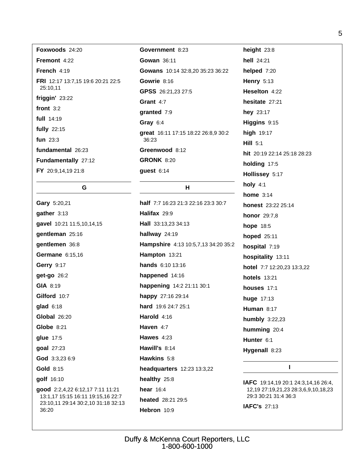| Foxwoods 24:20                                       | Gove              |
|------------------------------------------------------|-------------------|
| Fremont 4:22                                         | Gowa              |
| <b>French</b> $4:19$                                 | Gowa              |
| <b>FRI</b> 12:17 13:7,15 19:6 20:21 22:5<br>25:10,11 | Gowr<br>GPSS      |
| friggin' 23:22                                       | Gran              |
| front $3:2$                                          | grant             |
| full $14:19$                                         | Gray              |
| fully $22:15$                                        | great             |
| fun $23:3$                                           | 36:2              |
| fundamental 26:23                                    | Gree              |
| Fundamentally 27:12                                  | GROI              |
| FY 20:9,14,19 21:8                                   | gues <sup>®</sup> |
|                                                      |                   |

G.

Gary 5:20,21

gather 3:13

gentleman 25:16

gentlemen 36:8

**Germane** 6:15,16

**Gerry 9:17** 

get-go 26:2

Gilford 10:7

**Global 26:20** 

Globe  $8:21$ 

glue 17:5

goal 27:23

**Gold 8:15** 

golf 16:10

36:20

God 3:3,23 6:9

good 2:2,4,22 6:12,17 7:11 11:21

13:1,17 15:15 16:11 19:15,16 22:7

23:10,11 29:14 30:2,10 31:18 32:13

GIA 8:19

 $qlad$  6:18

gavel 10:21 11:5,10,14,15

# **rnment** 8:23 an  $36:11$ ans 10:14 32:8,20 35:23 36:22 rie 8:16 S 26:21,23 27:5  $t$  4:7 ted  $7:9$  $6:4$ 16:11 17:15 18:22 26:8,9 30:2 3 nwood 8:12 **NK 8:20**  $t$  6:14

#### H

half 7:7 16:23 21:3 22:16 23:3 30:7 Halifax 29:9 Hall 33:13,23 34:13 hallway 24:19 Hampshire 4:13 10:5,7,13 34:20 35:2 Hampton 13:21 hands 6:10 13:16 happened 14:16 happening 14:2 21:11 30:1 happy 27:16 29:14 hard 19:6 24:7 25:1 Harold 4:16 Haven 4:7 Hawes  $4:23$ Hawill's 8:14 Hawkins 5:8 headquarters 12:23 13:3,22 healthy 25:8 hear  $16:4$ heated 28:21 29:5 Hebron 10:9

height  $23:8$ hell 24:21 helped 7:20 **Henry 5:13** Heselton 4:22 hesitate 27:21 hev 23:17 Higgins 9:15 high 19:17 Hill  $5:1$ hit 20:19 22:14 25:18 28:23 holding 17:5 Hollissey 5:17 holy  $4:1$ home  $3:14$ honest 23:22 25:14 **honor** 29:7,8 hope 18:5 hoped 25:11 hospital 7:19 hospitality 13:11 hotel 7:7 12:20,23 13:3,22 **hotels** 13:21 houses 17:1 huge  $17:13$ Human 8:17 humbly 3:22,23 humming 20:4 Hunter 6:1 Hygenall 8:23

#### $\mathbf{I}$

IAFC 19:14,19 20:1 24:3,14,16 26:4, 12,19 27:19,21,23 28:3,6,9,10,18,23 29:3 30:21 31:4 36:3

IAFC's 27:13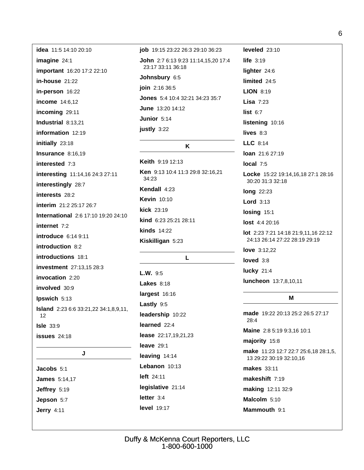**idea** 11:5 14:10 20:10 imagine  $24:1$ important 16:20 17:2 22:10 in-house 21:22 in-person 16:22 income 14:6,12 incoming 29:11 Industrial 8:13,21 information 12:19 initially 23:18 Insurance 8:16,19 interested 7:3 interesting 11:14,16 24:3 27:11 interestingly 28:7 interests 28:2 interim 21:2 25:17 26:7 International 2:6 17:10 19:20 24:10 internet 7:2 introduce 6:14 9:11 introduction  $8:2$ introductions 18:1 investment 27:13,15 28:3 invocation 2:20 involved 30:9 Ipswich 5:13 **Island** 2:23 6:6 33:21,22 34:1,8,9,11,  $12$ **Isle 33:9 issues** 24:18 J Jacobs 5:1

**James** 5:14,17 Jeffrey 5:19 Jepson 5:7 **Jerry 4:11** 

job 19:15 23:22 26:3 29:10 36:23 John 2:7 6:13 9:23 11:14,15,20 17:4 23:17 33:11 36:18 Johnsbury 6:5 join 2:16 36:5 Jones 5:4 10:4 32:21 34:23 35:7 June 13:20 14:12 Junior 5:14 justly 3:22 K Keith 9:19 12:13 Ken 9:13 10:4 11:3 29:8 32:16,21 34:23

Kendall 4:23 **Kevin** 10:10 **kick** 23:19 kind 6:23 25:21 28:11 kinds  $14:22$ Kiskilligan 5:23

#### L

 $L.W. 9:5$ **Lakes 8:18** largest 16:16 Lastly 9:5 leadership 10:22 learned 22:4 lease 22:17,19,21,23 leave  $29:1$ leaving 14:14 Lebanon 10:13 left 24:11 legislative 21:14 letter  $3:4$ **level** 19:17

life  $3:19$ lighter 24:6 limited 24:5 **LION 8:19** Lisa  $7:23$ list  $6:7$ listening 10:16 lives  $8:3$  $LLC$  8.14 loan 21:6 27:19 local  $7:5$ Locke 15:22 19:14.16.18 27:1 28:16 30:20 31:3 32:18 **long** 22:23 Lord  $3:13$ losing 15:1 lost 4:4 20:16 lot 2:23 7:21 14:18 21:9,11,16 22:12 24:13 26:14 27:22 28:19 29:19 **love** 3:12.22 loved  $3:8$ lucky  $21:4$ luncheon 13:7,8,10,11 M

leveled  $23:10$ 

made 19:22 20:13 25:2 26:5 27:17  $28:4$ 

Maine 2:8 5:19 9:3,16 10:1

#### majority 15:8

make 11:23 12:7 22:7 25:6,18 28:1,5, 13 29:22 30:19 32:10,16

makes 33:11

makeshift 7:19

making 12:11 32:9

Malcolm 5:10

Mammouth 9:1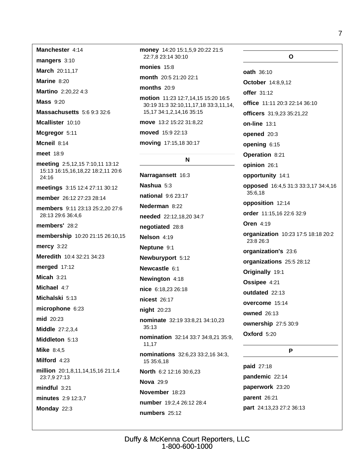Manchester 4:14 mangers 3:10 March 20:11,17 Marine 8:20 Martino 2:20.22 4:3 **Mass 9:20** Massachusetts 5:6 9:3 32:6 Mcallister 10:10 Mcgregor 5:11 Mcneil 8:14 meet 18:9 meeting 2:5,12,15 7:10,11 13:12 15:13 16:15,16,18,22 18:2,11 20:6 24:16 meetings 3:15 12:4 27:11 30:12 member 26:12 27:23 28:14 members 9:11 23:13 25:2,20 27:6 28:13 29:6 36:4,6 members' 28:2 membership 10:20 21:15 26:10,15 mercy 3:22 Meredith 10:4 32:21 34:23 merged 17:12 Micah  $3:21$ Michael 4:7 Michalski 5:13 microphone  $6:23$ mid 20:23 **Middle 27:2.3.4** Middleton 5:13 **Mike** 8:4,5 Milford 4:23 million 20:1,8,11,14,15,16 21:1,4 23:7,9 27:13  $mindful$  3:21 minutes 2:9 12:3,7

Monday 22:3

money 14:20 15:1,5,9 20:22 21:5 22:7.8 23:14 30:10

#### monies  $15:8$

month 20:5 21:20 22:1

#### months  $20:9$

motion 11:23 12:7,14,15 15:20 16:5 30:19 31:3 32:10,11,17,18 33:3,11,14, 15, 17 34: 1, 2, 14, 16 35: 15

move 13:2 15:22 31:8.22

moved 15:9 22:13

moving 17:15,18 30:17

#### N

Narragansett 16:3 Nashua 5:3 national 9:6 23:17 Nederman 8:22 needed 22:12.18.20 34:7 negotiated 28:8 Nelson 4:19 Neptune 9:1 Newburyport 5:12 Newcastle 6:1 Newington 4:18 nice 6:18,23 26:18 nicest 26:17 night 20:23 nominate 32:19 33:8,21 34:10,23  $35:13$ nomination 32:14 33:7 34:8,21 35:9, 11,17 nominations 32:6,23 33:2,16 34:3, 15 35:6,18 North 6:2 12:16 30:6.23 **Nova** 29:9 November 18:23 number 19:2.4 26:12 28:4 numbers 25:12

 $\mathbf{o}$ oath 36:10 October 14:8,9,12 offer  $31:12$ office 11:11 20:3 22:14 36:10 officers 31:9,23 35:21,22 **on-line 13:1** opened 20:3 opening 6:15 Operation 8:21 opinion 26:1 opportunity 14:1 opposed 16:4,5 31:3 33:3,17 34:4,16 35:6.18 opposition 12:14 order 11:15.16 22:6 32:9 **Oren 4:19** organization 10:23 17:5 18:18 20:2 23:8 26:3 organization's 23:6 organizations 25:5 28:12 Originally 19:1 Ossipee 4:21 outdated 22:13 overcome 15:14 **owned** 26:13 ownership 27:5 30:9 Oxford 5:20 P

**paid** 27:18 pandemic 22:14 paperwork 23:20 parent 26:21 part 24:13,23 27:2 36:13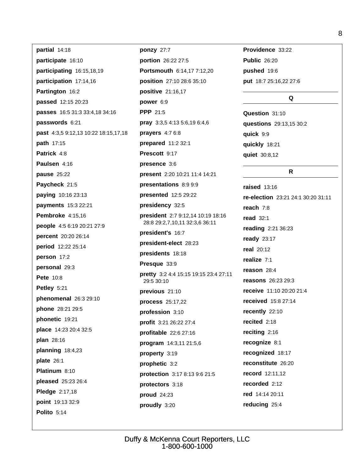partial 14:18 participate 16:10 participating 16:15,18,19 participation 17:14,16 Partington 16:2 passed 12:15 20:23 passes 16:5 31:3 33:4,18 34:16 passwords 6:21 past 4:3,5 9:12,13 10:22 18:15,17,18 path 17:15 Patrick 4:8 Paulsen 4:16 **pause** 25:22 Paycheck 21:5 paying 10:16 23:13 payments 15:3 22:21 **Pembroke** 4:15,16 people 4:5 6:19 20:21 27:9 percent 20:20 26:14 period 12:22 25:14 person 17:2 personal 29:3 **Pete** 10:8 Petley 5:21 phenomenal 26:3 29:10 **phone** 28:21 29:5 phonetic 19:21 place 14:23 20:4 32:5 plan 28:16 planning  $18:4,23$ plate 26:1 Platinum 8:10 pleased 25:23 26:4 Pledge 2:17,18 point 19:13 32:9 **Polito** 5:14

ponzy 27:7 portion 26:22 27:5 Portsmouth 6:14.17 7:12.20 position 27:10 28:6 35:10 positive 21:16,17 power 6:9 **PPP** 21:5 pray 3:3,5 4:13 5:6,19 6:4,6 prayers  $4:76:8$ prepared 11:2 32:1 Prescott 9:17 presence 3:6 present 2:20 10:21 11:4 14:21 presentations 8:9 9:9 presented 12:5 29:22 presidency 32:5 president 2:7 9:12,14 10:19 18:16 28:8 29:2,7,10,11 32:3,6 36:11 president's 16:7 president-elect 28:23 presidents 18:18 Presque 33:9 pretty 3:2 4:4 15:15 19:15 23:4 27:11 29:5 30:10 previous 21:10 process 25:17,22 profession 3:10 profit 3:21 26:22 27:4 profitable 22:6 27:16 program 14:3,11 21:5,6 property 3:19 prophetic 3:2 protection 3:17 8:13 9:6 21:5 protectors 3:18 proud 24:23 proudly 3:20

Providence 33:22 **Public 26:20** pushed 19:6 put 18:7 25:16,22 27:6

#### Q

Question 31:10 questions 29:13,15 30:2 quick 9:9 quickly 18:21 quiet 30:8,12

#### R.

raised 13:16 re-election 23:21 24:1 30:20 31:11 reach  $7:8$ **read** 32:1 reading 2:21 36:23 **ready** 23:17 real 20:12 realize  $7:1$ reason  $28:4$ reasons 26:23 29:3 receive 11:10 20:20 21:4 received 15:8 27:14 recently 22:10 recited  $2:18$ reciting  $2:16$ recognize 8:1 recognized 18:17 reconstitute 26:20 record 12:11,12 recorded 2:12 red 14:14 20:11 reducing 25:4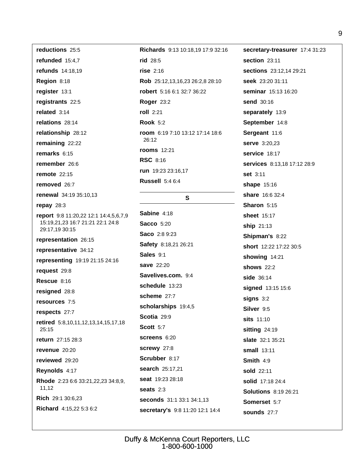reductions 25:5 refunded 15:4.7 refunds 14:18.19 Region 8:18 register 13:1 registrants 22:5 related  $3:14$ relations 28:14 relationship 28:12 remaining 22:22 remarks  $6:15$ remember 26:6 remote  $22:15$ removed 26:7 renewal 34:19 35:10,13 repay 28:3 report 9:8 11:20,22 12:1 14:4,5,6,7,9 15:19,21,23 16:7 21:21 22:1 24:8 29:17,19 30:15 representation 26:15 representative 34:12 representing 19:19 21:15 24:16 request 29:8 Rescue 8:16 resigned 28:8 resources 7:5 respects 27:7 retired 5:8,10,11,12,13,14,15,17,18  $25:15$ return 27:15 28:3 revenue 20:20 reviewed 29:20 Reynolds 4:17 Rhode 2:23 6:6 33:21,22,23 34:8,9,  $11,12$ Rich 29:1 30:6.23 Richard 4:15,22 5:3 6:2

Richards 9:13 10:18.19 17:9 32:16 rid 28:5  $rise$  2:16 Rob 25:12,13,16,23 26:2,8 28:10 robert 5:16 6:1 32:7 36:22 **Roger 23:2** roll 2:21 **Rook 5:2** room 6:19 7:10 13:12 17:14 18:6 26:12 **rooms** 12:21 **RSC 8:16** run 19:23 23:16.17 **Russell 5:4 6:4** 

#### $\mathbf{s}$

Sabine 4:18 **Sacco** 5:20 Saco 2:8 9:23 Safety 8:18,21 26:21 Sales 9:1 save 22:20 Savelives.com. 9:4 schedule 13:23 scheme 27:7 scholarships 19:4,5 Scotia 29:9 **Scott 5:7** screens 6:20 screwy 27:8 Scrubber 8:17 search 25:17,21 seat 19:23 28:18 seats  $2:3$ seconds 31:1 33:1 34:1,13 secretary's 9:8 11:20 12:1 14:4 secretary-treasurer 17:4 31:23 section 23:11 sections 23:12.14 29:21 seek 23:20 31:11 seminar 15:13 16:20 send 30:16 separately 13:9 September 14:8 Sergeant 11:6 **serve** 3:20,23 service 18:17 services 8:13,18 17:12 28:9 set 3:11 shape 15:16 share 16:6 32:4 Sharon 5:15 sheet 15:17 ship 21:13 **Shipman's 8:22** short 12:22 17:22 30:5 showing 14:21 **shows** 22:2 side 36:14 signed 13:15 15:6  $signs$  3:2 Silver 9:5 sits 11:10 sitting 24:19 slate 32:1 35:21 small  $13:11$ Smith  $4:9$ sold 22:11 solid 17:18 24:4 **Solutions** 8:19 26:21 Somerset 5:7 sounds 27:7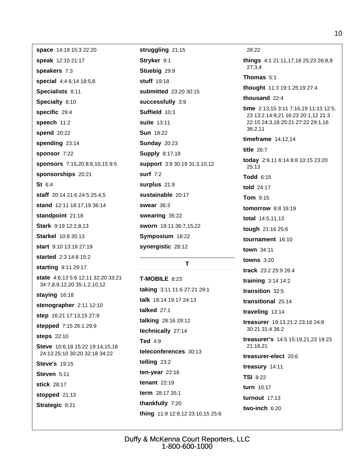space 14:19 15:3 22:20 speak 12:10 21:17 speakers 7:3 special 4:4 6:14 18:5,8 Specialists 8:11 Specialty 8:10 specific 29:4 speech 11:2 spend 20:22 spending 23:14 sponsor 7:22 sponsors 7:15,20 8:8,10,15 9:5 sponsorships 20:21  $St 6:4$ staff 20:14 21:6 24:5 25:4,5 stand 12:11 18:17,19 36:14 standpoint 21:18 Stark 9:19 12:2,8,13 **Starkel** 10:8 35:13 start 9:10 13:19 27:19 started 2:3 14:8 15:2 starting 9:11 29:17 state 4:6,13 5:6 12:11 32:20 33:21 34:7,8,9,12,20 35:1,2,10,12 staying 16:18 stenographer 2:11 12:10 step 16:21 17:13,15 27:9 stepped 7:15 26:1 29:9 steps 22:10 Steve 10:6,18 15:22 19:14,15,18 24:13 25:10 30:20 32:18 34:22 **Steve's 19:15** Steven 5:11 stick 28:17 stopped 21:13 Strategic 8:21

struggling 21:15 Stryker 9:1 Stuebig 29:9 stuff 19:18 submitted 23:20 30:15 successfully 3:9 Suffield 10:3 suite 13:11 **Sun 18:22 Sunday 20:23 Supply 8:17,18** support 3:9 30:19 31:3,10,12 surf  $7:2$ surplus 21:9 sustainable 20:17 **swear** 36:3 swearing 35:22 sworn 19:11 36:7,15,22 Symposium 18:22 synergistic 28:12

#### T

**T-MOBILE 8:23** taking 3:11 11:6 27:21 29:1 talk 18:14 19:17 24:13 talked  $27:1$ talking 28:16 29:12 technically 27:14 Ted  $4:9$ teleconferences 30:13 telling 23:2 ten-year  $22:16$ tenant  $22:19$ term 28:17 35:1 thankfully 7:20 thing 11:9 12:9,12 23:10,15 25:6

28:22 things 4:1 21:11,17,18 25:23 26:8,9  $27:3.4$ Thomas 5:1 thought 11:3 19:1 25:19 27:4 thousand 22:4 time 2:13,15 3:11 7:16,19 11:13 12:5, 23 13:2 14:9,21 16:23 20:1,12 21:3 22:15 24:3,18 25:21 27:22 29:1,16  $36:2.11$ timeframe  $14:12,14$ title  $26:7$ today 2:9,11 6:14 8:8 10:15 23:20  $25:13$ Todd 6:15 told 24:17 Tom 9:15 **tomorrow** 8:8 16:19 total 14:5,11,13 tough 21:16 25:6 tournament 16:10 town  $34.11$ **towns** 3:20 track 23:2 25:9 26:4 training  $3:14$  14:2 transition 32:5 transitional 25:14 traveling 13:14 treasurer 19:13 21:2 23:16 24:8 30:21 31:4 36:2 treasurer's 14:5 15:19,21,23 19:23 21:18.21 treasurer-elect 20:6 treasury 14:11 **TSI 8:22** turn 10:17

**turnout** 17:13

two-inch 6:20